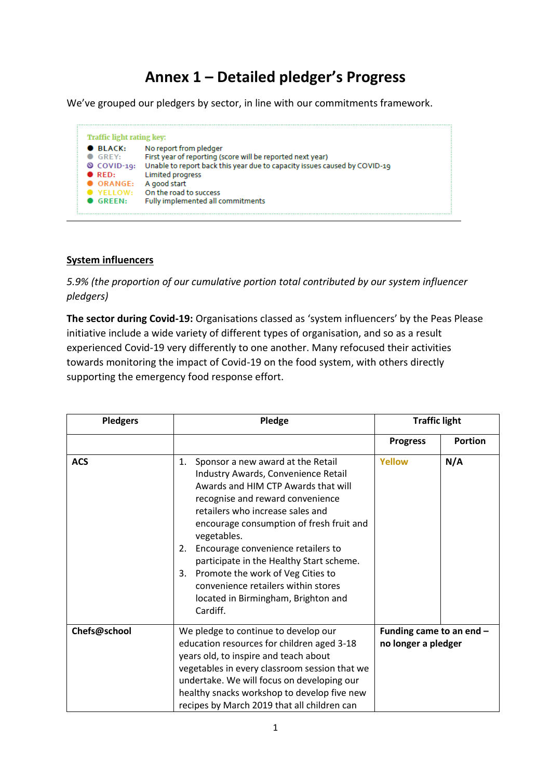# **Annex 1 – Detailed pledger's Progress**

We've grouped our pledgers by sector, in line with our commitments framework.

| <b>Traffic light rating key:</b>                                                                               |                                                                                                                                                                                                                                                                                     |
|----------------------------------------------------------------------------------------------------------------|-------------------------------------------------------------------------------------------------------------------------------------------------------------------------------------------------------------------------------------------------------------------------------------|
| $\bullet$ BLACK:<br>GREY:<br>$\circ$ COVID-19:<br>$\bullet$ RED:<br>$\bullet$ ORANGE:<br>$\blacksquare$ GRFFN: | No report from pledger<br>First year of reporting (score will be reported next year)<br>Unable to report back this year due to capacity issues caused by COVID-19<br><b>Limited progress</b><br>A good start<br>YELLOW: On the road to success<br>Fully implemented all commitments |

#### **System influencers**

*5.9% (the proportion of our cumulative portion total contributed by our system influencer pledgers)*

**The sector during Covid-19:** Organisations classed as 'system influencers' by the Peas Please initiative include a wide variety of different types of organisation, and so as a result experienced Covid-19 very differently to one another. Many refocused their activities towards monitoring the impact of Covid-19 on the food system, with others directly supporting the emergency food response effort.

| <b>Pledgers</b> | Pledge                                                                                                                                                                                                                                                                                                                                                                                                                                                                                | <b>Traffic light</b>                            |                |
|-----------------|---------------------------------------------------------------------------------------------------------------------------------------------------------------------------------------------------------------------------------------------------------------------------------------------------------------------------------------------------------------------------------------------------------------------------------------------------------------------------------------|-------------------------------------------------|----------------|
|                 |                                                                                                                                                                                                                                                                                                                                                                                                                                                                                       | <b>Progress</b>                                 | <b>Portion</b> |
| <b>ACS</b>      | Sponsor a new award at the Retail<br>1.<br>Industry Awards, Convenience Retail<br>Awards and HIM CTP Awards that will<br>recognise and reward convenience<br>retailers who increase sales and<br>encourage consumption of fresh fruit and<br>vegetables.<br>Encourage convenience retailers to<br>2.<br>participate in the Healthy Start scheme.<br>Promote the work of Veg Cities to<br>3.<br>convenience retailers within stores<br>located in Birmingham, Brighton and<br>Cardiff. | <b>Yellow</b>                                   | N/A            |
| Chefs@school    | We pledge to continue to develop our<br>education resources for children aged 3-18<br>years old, to inspire and teach about<br>vegetables in every classroom session that we<br>undertake. We will focus on developing our<br>healthy snacks workshop to develop five new<br>recipes by March 2019 that all children can                                                                                                                                                              | Funding came to an end -<br>no longer a pledger |                |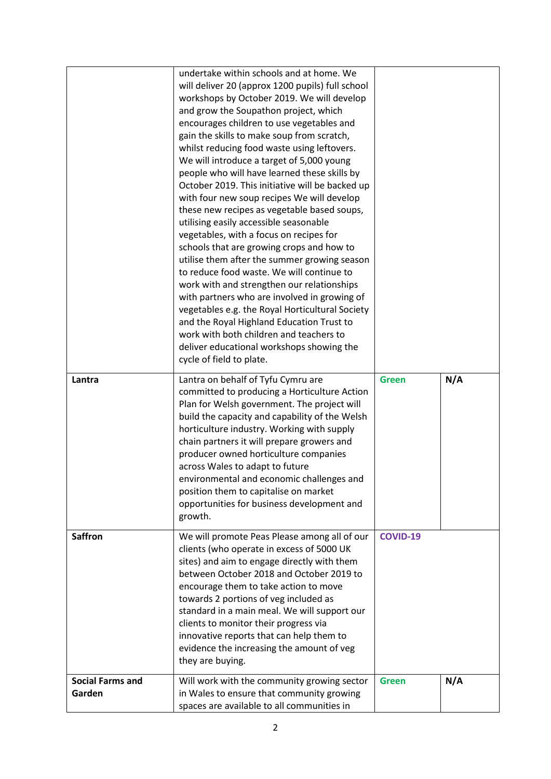|                                   | undertake within schools and at home. We<br>will deliver 20 (approx 1200 pupils) full school<br>workshops by October 2019. We will develop<br>and grow the Soupathon project, which<br>encourages children to use vegetables and<br>gain the skills to make soup from scratch,<br>whilst reducing food waste using leftovers.<br>We will introduce a target of 5,000 young<br>people who will have learned these skills by<br>October 2019. This initiative will be backed up<br>with four new soup recipes We will develop<br>these new recipes as vegetable based soups,<br>utilising easily accessible seasonable<br>vegetables, with a focus on recipes for<br>schools that are growing crops and how to<br>utilise them after the summer growing season<br>to reduce food waste. We will continue to<br>work with and strengthen our relationships<br>with partners who are involved in growing of<br>vegetables e.g. the Royal Horticultural Society<br>and the Royal Highland Education Trust to<br>work with both children and teachers to<br>deliver educational workshops showing the<br>cycle of field to plate. |                 |     |
|-----------------------------------|-----------------------------------------------------------------------------------------------------------------------------------------------------------------------------------------------------------------------------------------------------------------------------------------------------------------------------------------------------------------------------------------------------------------------------------------------------------------------------------------------------------------------------------------------------------------------------------------------------------------------------------------------------------------------------------------------------------------------------------------------------------------------------------------------------------------------------------------------------------------------------------------------------------------------------------------------------------------------------------------------------------------------------------------------------------------------------------------------------------------------------|-----------------|-----|
| Lantra                            | Lantra on behalf of Tyfu Cymru are<br>committed to producing a Horticulture Action<br>Plan for Welsh government. The project will<br>build the capacity and capability of the Welsh<br>horticulture industry. Working with supply<br>chain partners it will prepare growers and<br>producer owned horticulture companies<br>across Wales to adapt to future<br>environmental and economic challenges and<br>position them to capitalise on market<br>opportunities for business development and<br>growth.                                                                                                                                                                                                                                                                                                                                                                                                                                                                                                                                                                                                                  | <b>Green</b>    | N/A |
| <b>Saffron</b>                    | We will promote Peas Please among all of our<br>clients (who operate in excess of 5000 UK<br>sites) and aim to engage directly with them<br>between October 2018 and October 2019 to<br>encourage them to take action to move<br>towards 2 portions of veg included as<br>standard in a main meal. We will support our<br>clients to monitor their progress via<br>innovative reports that can help them to<br>evidence the increasing the amount of veg<br>they are buying.                                                                                                                                                                                                                                                                                                                                                                                                                                                                                                                                                                                                                                                | <b>COVID-19</b> |     |
| <b>Social Farms and</b><br>Garden | Will work with the community growing sector<br>in Wales to ensure that community growing<br>spaces are available to all communities in                                                                                                                                                                                                                                                                                                                                                                                                                                                                                                                                                                                                                                                                                                                                                                                                                                                                                                                                                                                      | <b>Green</b>    | N/A |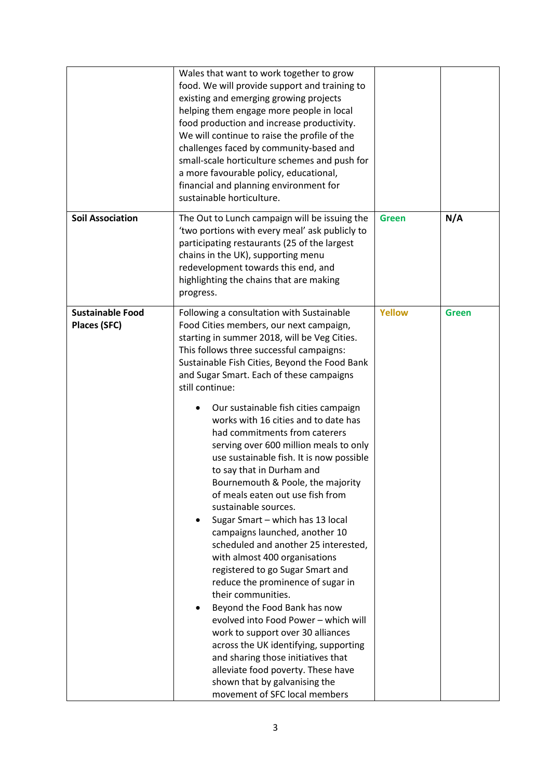|                                                | Wales that want to work together to grow<br>food. We will provide support and training to<br>existing and emerging growing projects<br>helping them engage more people in local<br>food production and increase productivity.<br>We will continue to raise the profile of the<br>challenges faced by community-based and<br>small-scale horticulture schemes and push for<br>a more favourable policy, educational,<br>financial and planning environment for<br>sustainable horticulture.                                                                                                                                                                                                                                                                                                                                                                                                                                                                                                                                                                                                                                                                                              |               |              |
|------------------------------------------------|-----------------------------------------------------------------------------------------------------------------------------------------------------------------------------------------------------------------------------------------------------------------------------------------------------------------------------------------------------------------------------------------------------------------------------------------------------------------------------------------------------------------------------------------------------------------------------------------------------------------------------------------------------------------------------------------------------------------------------------------------------------------------------------------------------------------------------------------------------------------------------------------------------------------------------------------------------------------------------------------------------------------------------------------------------------------------------------------------------------------------------------------------------------------------------------------|---------------|--------------|
| <b>Soil Association</b>                        | The Out to Lunch campaign will be issuing the<br>'two portions with every meal' ask publicly to<br>participating restaurants (25 of the largest<br>chains in the UK), supporting menu<br>redevelopment towards this end, and<br>highlighting the chains that are making<br>progress.                                                                                                                                                                                                                                                                                                                                                                                                                                                                                                                                                                                                                                                                                                                                                                                                                                                                                                    | <b>Green</b>  | N/A          |
| <b>Sustainable Food</b><br><b>Places (SFC)</b> | Following a consultation with Sustainable<br>Food Cities members, our next campaign,<br>starting in summer 2018, will be Veg Cities.<br>This follows three successful campaigns:<br>Sustainable Fish Cities, Beyond the Food Bank<br>and Sugar Smart. Each of these campaigns<br>still continue:<br>Our sustainable fish cities campaign<br>works with 16 cities and to date has<br>had commitments from caterers<br>serving over 600 million meals to only<br>use sustainable fish. It is now possible<br>to say that in Durham and<br>Bournemouth & Poole, the majority<br>of meals eaten out use fish from<br>sustainable sources.<br>Sugar Smart - which has 13 local<br>campaigns launched, another 10<br>scheduled and another 25 interested,<br>with almost 400 organisations<br>registered to go Sugar Smart and<br>reduce the prominence of sugar in<br>their communities.<br>Beyond the Food Bank has now<br>evolved into Food Power - which will<br>work to support over 30 alliances<br>across the UK identifying, supporting<br>and sharing those initiatives that<br>alleviate food poverty. These have<br>shown that by galvanising the<br>movement of SFC local members | <b>Yellow</b> | <b>Green</b> |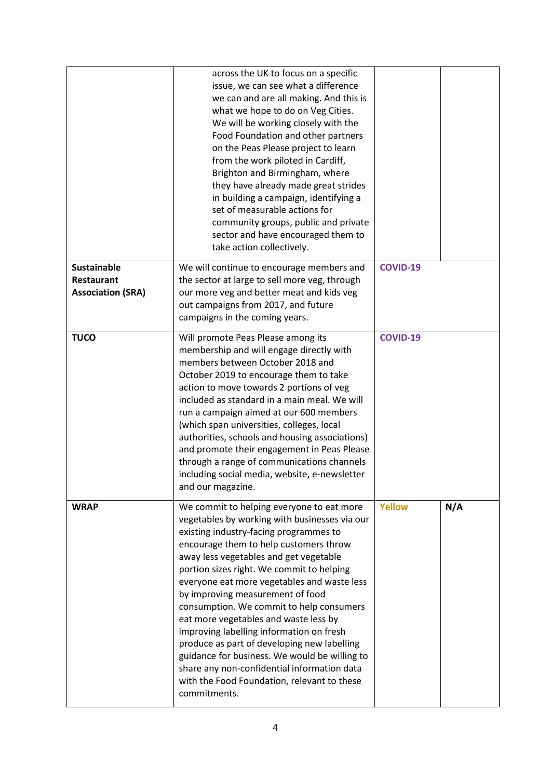|                                                                     | across the UK to focus on a specific<br>issue, we can see what a difference<br>we can and are all making. And this is<br>what we hope to do on Veg Cities.<br>We will be working closely with the<br>Food Foundation and other partners<br>on the Peas Please project to learn<br>from the work piloted in Cardiff,<br>Brighton and Birmingham, where<br>they have already made great strides<br>in building a campaign, identifying a<br>set of measurable actions for<br>community groups, public and private<br>sector and have encouraged them to<br>take action collectively.                                                                                                                      |                 |     |
|---------------------------------------------------------------------|---------------------------------------------------------------------------------------------------------------------------------------------------------------------------------------------------------------------------------------------------------------------------------------------------------------------------------------------------------------------------------------------------------------------------------------------------------------------------------------------------------------------------------------------------------------------------------------------------------------------------------------------------------------------------------------------------------|-----------------|-----|
| <b>Sustainable</b><br><b>Restaurant</b><br><b>Association (SRA)</b> | We will continue to encourage members and<br>the sector at large to sell more veg, through<br>our more veg and better meat and kids veg<br>out campaigns from 2017, and future<br>campaigns in the coming years.                                                                                                                                                                                                                                                                                                                                                                                                                                                                                        | <b>COVID-19</b> |     |
| <b>TUCO</b>                                                         | Will promote Peas Please among its<br>membership and will engage directly with<br>members between October 2018 and<br>October 2019 to encourage them to take<br>action to move towards 2 portions of veg<br>included as standard in a main meal. We will<br>run a campaign aimed at our 600 members<br>(which span universities, colleges, local<br>authorities, schools and housing associations)<br>and promote their engagement in Peas Please<br>through a range of communications channels<br>including social media, website, e-newsletter<br>and our magazine.                                                                                                                                   | <b>COVID-19</b> |     |
| <b>WRAP</b>                                                         | We commit to helping everyone to eat more<br>vegetables by working with businesses via our<br>existing industry-facing programmes to<br>encourage them to help customers throw<br>away less vegetables and get vegetable<br>portion sizes right. We commit to helping<br>everyone eat more vegetables and waste less<br>by improving measurement of food<br>consumption. We commit to help consumers<br>eat more vegetables and waste less by<br>improving labelling information on fresh<br>produce as part of developing new labelling<br>guidance for business. We would be willing to<br>share any non-confidential information data<br>with the Food Foundation, relevant to these<br>commitments. | <b>Yellow</b>   | N/A |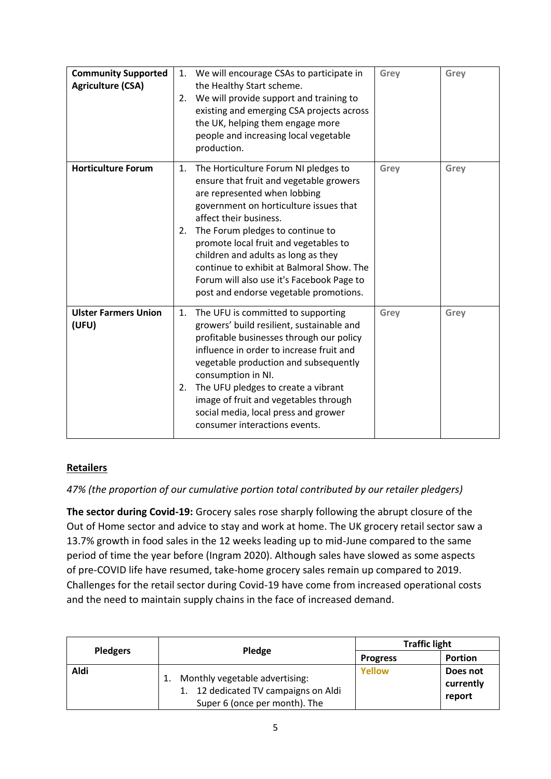| <b>Community Supported</b><br><b>Agriculture (CSA)</b> | We will encourage CSAs to participate in<br>1.<br>the Healthy Start scheme.<br>We will provide support and training to<br>2.<br>existing and emerging CSA projects across<br>the UK, helping them engage more<br>people and increasing local vegetable<br>production.                                                                                                                                                                                   | Grey | Grey |
|--------------------------------------------------------|---------------------------------------------------------------------------------------------------------------------------------------------------------------------------------------------------------------------------------------------------------------------------------------------------------------------------------------------------------------------------------------------------------------------------------------------------------|------|------|
| <b>Horticulture Forum</b>                              | The Horticulture Forum NI pledges to<br>1.<br>ensure that fruit and vegetable growers<br>are represented when lobbing<br>government on horticulture issues that<br>affect their business.<br>The Forum pledges to continue to<br>2.<br>promote local fruit and vegetables to<br>children and adults as long as they<br>continue to exhibit at Balmoral Show. The<br>Forum will also use it's Facebook Page to<br>post and endorse vegetable promotions. | Grey | Grey |
| <b>Ulster Farmers Union</b><br>(UFU)                   | The UFU is committed to supporting<br>1.<br>growers' build resilient, sustainable and<br>profitable businesses through our policy<br>influence in order to increase fruit and<br>vegetable production and subsequently<br>consumption in NI.<br>The UFU pledges to create a vibrant<br>2.<br>image of fruit and vegetables through<br>social media, local press and grower<br>consumer interactions events.                                             | Grey | Grey |

### **Retailers**

*47% (the proportion of our cumulative portion total contributed by our retailer pledgers)*

**The sector during Covid-19:** Grocery sales rose sharply following the abrupt closure of the Out of Home sector and advice to stay and work at home. The UK grocery retail sector saw a 13.7% growth in food sales in the 12 weeks leading up to mid-June compared to the same period of time the year before (Ingram 2020). Although sales have slowed as some aspects of pre-COVID life have resumed, take-home grocery sales remain up compared to 2019. Challenges for the retail sector during Covid-19 have come from increased operational costs and the need to maintain supply chains in the face of increased demand.

| <b>Pledgers</b> |                                                                                                         | <b>Traffic light</b> |                                 |
|-----------------|---------------------------------------------------------------------------------------------------------|----------------------|---------------------------------|
|                 | <b>Pledge</b>                                                                                           | <b>Progress</b>      | <b>Portion</b>                  |
| Aldi            | Monthly vegetable advertising:<br>1. 12 dedicated TV campaigns on Aldi<br>Super 6 (once per month). The | Yellow               | Does not<br>currently<br>report |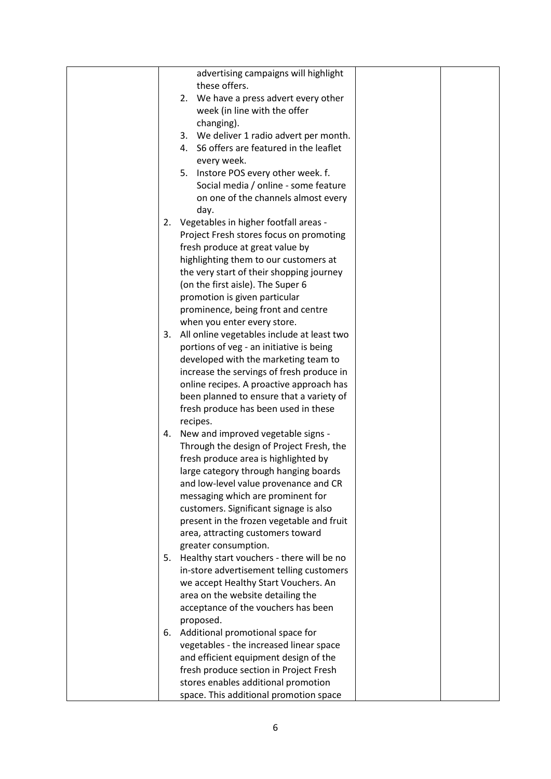|    | advertising campaigns will highlight       |  |
|----|--------------------------------------------|--|
|    | these offers.                              |  |
|    | 2. We have a press advert every other      |  |
|    |                                            |  |
|    | week (in line with the offer               |  |
|    | changing).                                 |  |
|    | 3. We deliver 1 radio advert per month.    |  |
|    | 4. S6 offers are featured in the leaflet   |  |
|    | every week.                                |  |
|    | Instore POS every other week. f.<br>5.     |  |
|    | Social media / online - some feature       |  |
|    | on one of the channels almost every        |  |
|    | day.                                       |  |
|    | 2. Vegetables in higher footfall areas -   |  |
|    | Project Fresh stores focus on promoting    |  |
|    | fresh produce at great value by            |  |
|    | highlighting them to our customers at      |  |
|    | the very start of their shopping journey   |  |
|    | (on the first aisle). The Super 6          |  |
|    | promotion is given particular              |  |
|    | prominence, being front and centre         |  |
|    | when you enter every store.                |  |
| 3. | All online vegetables include at least two |  |
|    | portions of veg - an initiative is being   |  |
|    | developed with the marketing team to       |  |
|    | increase the servings of fresh produce in  |  |
|    | online recipes. A proactive approach has   |  |
|    | been planned to ensure that a variety of   |  |
|    | fresh produce has been used in these       |  |
|    | recipes.                                   |  |
|    | 4. New and improved vegetable signs -      |  |
|    | Through the design of Project Fresh, the   |  |
|    | fresh produce area is highlighted by       |  |
|    | large category through hanging boards      |  |
|    | and low-level value provenance and CR      |  |
|    | messaging which are prominent for          |  |
|    | customers. Significant signage is also     |  |
|    | present in the frozen vegetable and fruit  |  |
|    | area, attracting customers toward          |  |
|    | greater consumption.                       |  |
| 5. | Healthy start vouchers - there will be no  |  |
|    | in-store advertisement telling customers   |  |
|    | we accept Healthy Start Vouchers. An       |  |
|    |                                            |  |
|    | area on the website detailing the          |  |
|    | acceptance of the vouchers has been        |  |
|    | proposed.                                  |  |
| 6. | Additional promotional space for           |  |
|    | vegetables - the increased linear space    |  |
|    | and efficient equipment design of the      |  |
|    | fresh produce section in Project Fresh     |  |
|    | stores enables additional promotion        |  |
|    | space. This additional promotion space     |  |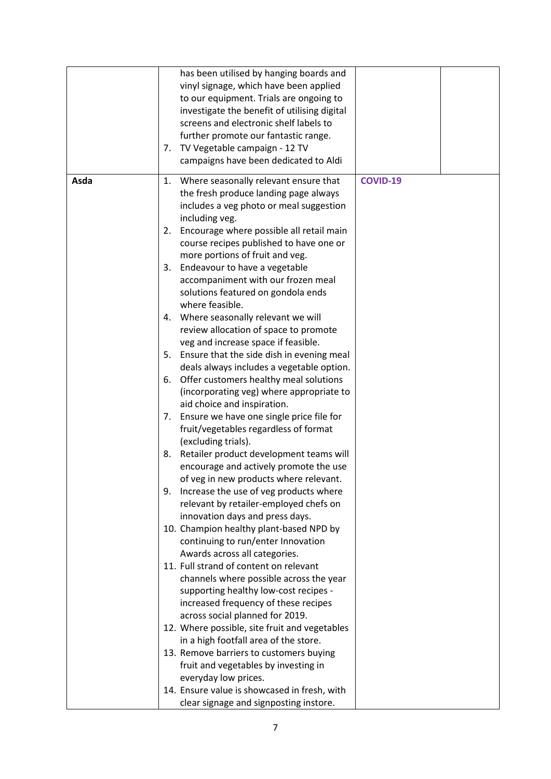|      | has been utilised by hanging boards and                        |
|------|----------------------------------------------------------------|
|      | vinyl signage, which have been applied                         |
|      |                                                                |
|      | to our equipment. Trials are ongoing to                        |
|      | investigate the benefit of utilising digital                   |
|      | screens and electronic shelf labels to                         |
|      | further promote our fantastic range.                           |
|      | 7. TV Vegetable campaign - 12 TV                               |
|      | campaigns have been dedicated to Aldi                          |
|      |                                                                |
| Asda | Where seasonally relevant ensure that<br><b>COVID-19</b><br>1. |
|      | the fresh produce landing page always                          |
|      | includes a veg photo or meal suggestion                        |
|      | including veg.                                                 |
|      | 2. Encourage where possible all retail main                    |
|      | course recipes published to have one or                        |
|      | more portions of fruit and veg.                                |
|      | 3. Endeavour to have a vegetable                               |
|      | accompaniment with our frozen meal                             |
|      | solutions featured on gondola ends                             |
|      | where feasible.                                                |
|      | 4. Where seasonally relevant we will                           |
|      | review allocation of space to promote                          |
|      | veg and increase space if feasible.                            |
|      | 5. Ensure that the side dish in evening meal                   |
|      | deals always includes a vegetable option.                      |
|      | 6. Offer customers healthy meal solutions                      |
|      | (incorporating veg) where appropriate to                       |
|      | aid choice and inspiration.                                    |
|      |                                                                |
|      | 7. Ensure we have one single price file for                    |
|      | fruit/vegetables regardless of format                          |
|      | (excluding trials).                                            |
|      | 8. Retailer product development teams will                     |
|      | encourage and actively promote the use                         |
|      | of veg in new products where relevant.                         |
|      | 9. Increase the use of veg products where                      |
|      | relevant by retailer-employed chefs on                         |
|      | innovation days and press days.                                |
|      | 10. Champion healthy plant-based NPD by                        |
|      | continuing to run/enter Innovation                             |
|      | Awards across all categories.                                  |
|      | 11. Full strand of content on relevant                         |
|      | channels where possible across the year                        |
|      | supporting healthy low-cost recipes -                          |
|      | increased frequency of these recipes                           |
|      | across social planned for 2019.                                |
|      | 12. Where possible, site fruit and vegetables                  |
|      | in a high footfall area of the store.                          |
|      | 13. Remove barriers to customers buying                        |
|      | fruit and vegetables by investing in                           |
|      | everyday low prices.                                           |
|      | 14. Ensure value is showcased in fresh, with                   |
|      |                                                                |
|      | clear signage and signposting instore.                         |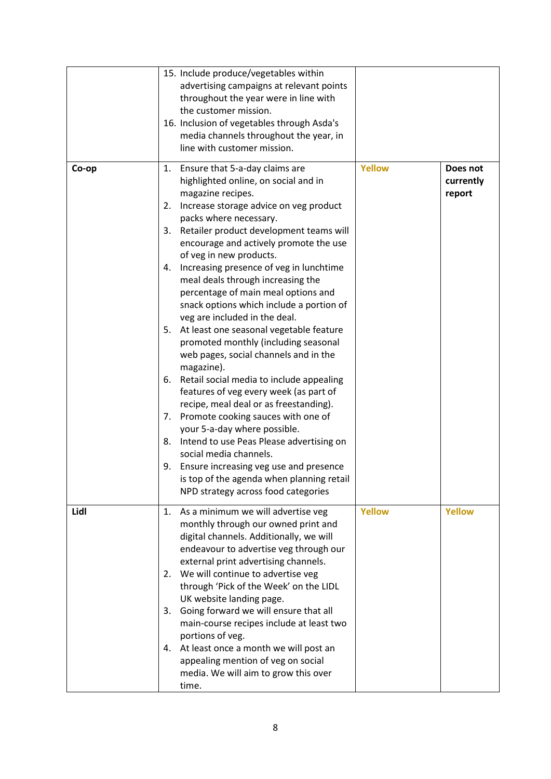|       | 15. Include produce/vegetables within<br>advertising campaigns at relevant points<br>throughout the year were in line with<br>the customer mission.<br>16. Inclusion of vegetables through Asda's<br>media channels throughout the year, in<br>line with customer mission.                                                                                                                                                                                                                                                                                                                                                                                                                                                                                                                                                                                                                                                                                                                                                                                                        |               |                                 |
|-------|-----------------------------------------------------------------------------------------------------------------------------------------------------------------------------------------------------------------------------------------------------------------------------------------------------------------------------------------------------------------------------------------------------------------------------------------------------------------------------------------------------------------------------------------------------------------------------------------------------------------------------------------------------------------------------------------------------------------------------------------------------------------------------------------------------------------------------------------------------------------------------------------------------------------------------------------------------------------------------------------------------------------------------------------------------------------------------------|---------------|---------------------------------|
| Co-op | 1. Ensure that 5-a-day claims are<br>highlighted online, on social and in<br>magazine recipes.<br>Increase storage advice on veg product<br>2.<br>packs where necessary.<br>3. Retailer product development teams will<br>encourage and actively promote the use<br>of veg in new products.<br>4. Increasing presence of veg in lunchtime<br>meal deals through increasing the<br>percentage of main meal options and<br>snack options which include a portion of<br>veg are included in the deal.<br>5. At least one seasonal vegetable feature<br>promoted monthly (including seasonal<br>web pages, social channels and in the<br>magazine).<br>Retail social media to include appealing<br>6.<br>features of veg every week (as part of<br>recipe, meal deal or as freestanding).<br>Promote cooking sauces with one of<br>7.<br>your 5-a-day where possible.<br>Intend to use Peas Please advertising on<br>8.<br>social media channels.<br>Ensure increasing veg use and presence<br>9.<br>is top of the agenda when planning retail<br>NPD strategy across food categories | <b>Yellow</b> | Does not<br>currently<br>report |
| Lidl  | 1. As a minimum we will advertise veg<br>monthly through our owned print and<br>digital channels. Additionally, we will<br>endeavour to advertise veg through our<br>external print advertising channels.<br>2. We will continue to advertise veg<br>through 'Pick of the Week' on the LIDL<br>UK website landing page.<br>Going forward we will ensure that all<br>3.<br>main-course recipes include at least two<br>portions of veg.<br>4. At least once a month we will post an<br>appealing mention of veg on social<br>media. We will aim to grow this over<br>time.                                                                                                                                                                                                                                                                                                                                                                                                                                                                                                         | <b>Yellow</b> | <b>Yellow</b>                   |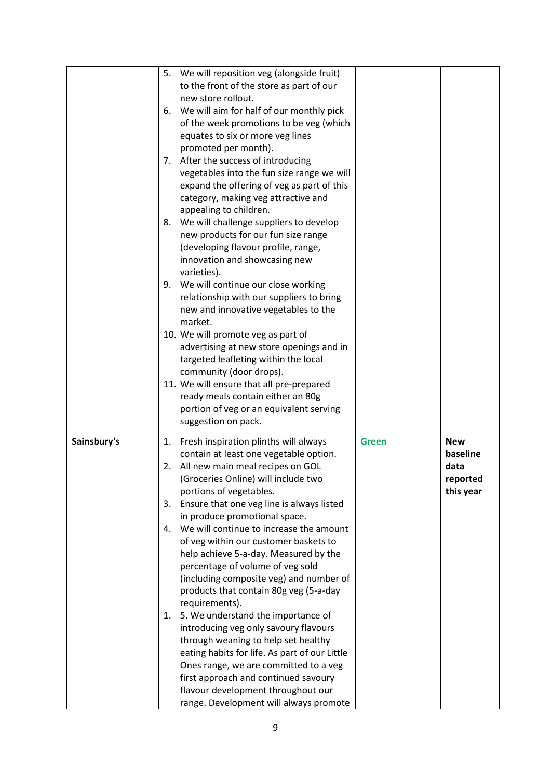|             | 5.       | We will reposition veg (alongside fruit)<br>to the front of the store as part of our<br>new store rollout.<br>6. We will aim for half of our monthly pick<br>of the week promotions to be veg (which<br>equates to six or more veg lines<br>promoted per month).<br>7. After the success of introducing<br>vegetables into the fun size range we will<br>expand the offering of veg as part of this<br>category, making veg attractive and<br>appealing to children.<br>8. We will challenge suppliers to develop<br>new products for our fun size range<br>(developing flavour profile, range,<br>innovation and showcasing new<br>varieties).<br>9. We will continue our close working |              |                                                         |
|-------------|----------|------------------------------------------------------------------------------------------------------------------------------------------------------------------------------------------------------------------------------------------------------------------------------------------------------------------------------------------------------------------------------------------------------------------------------------------------------------------------------------------------------------------------------------------------------------------------------------------------------------------------------------------------------------------------------------------|--------------|---------------------------------------------------------|
|             |          | relationship with our suppliers to bring<br>new and innovative vegetables to the<br>market.<br>10. We will promote veg as part of<br>advertising at new store openings and in<br>targeted leafleting within the local<br>community (door drops).<br>11. We will ensure that all pre-prepared<br>ready meals contain either an 80g<br>portion of veg or an equivalent serving<br>suggestion on pack.                                                                                                                                                                                                                                                                                      |              |                                                         |
| Sainsbury's | 2.<br>4. | 1. Fresh inspiration plinths will always<br>contain at least one vegetable option.<br>All new main meal recipes on GOL<br>(Groceries Online) will include two<br>portions of vegetables.<br>3. Ensure that one veg line is always listed<br>in produce promotional space.<br>We will continue to increase the amount<br>of veg within our customer baskets to<br>help achieve 5-a-day. Measured by the<br>percentage of volume of veg sold<br>(including composite veg) and number of<br>products that contain 80g veg (5-a-day<br>requirements).<br>1. 5. We understand the importance of                                                                                               | <b>Green</b> | <b>New</b><br>baseline<br>data<br>reported<br>this year |
|             |          | introducing veg only savoury flavours<br>through weaning to help set healthy<br>eating habits for life. As part of our Little<br>Ones range, we are committed to a veg<br>first approach and continued savoury<br>flavour development throughout our<br>range. Development will always promote                                                                                                                                                                                                                                                                                                                                                                                           |              |                                                         |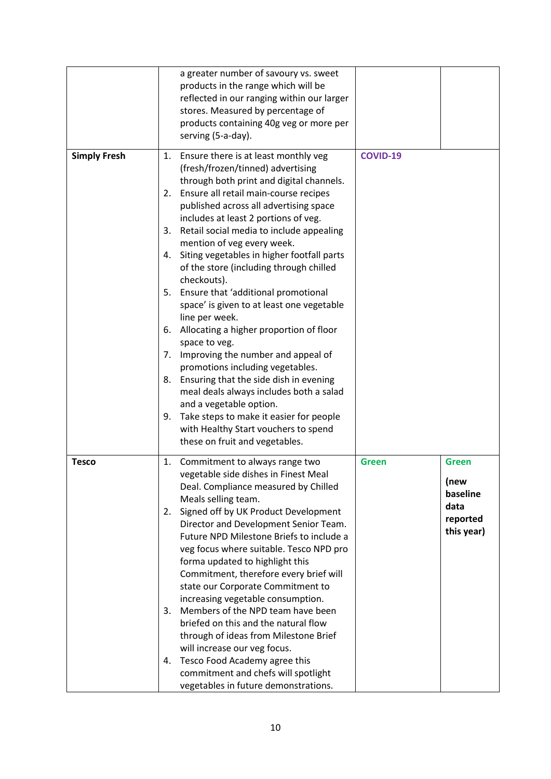|                     |                                  | a greater number of savoury vs. sweet<br>products in the range which will be<br>reflected in our ranging within our larger<br>stores. Measured by percentage of<br>products containing 40g veg or more per<br>serving (5-a-day).                                                                                                                                                                                                                                                                                                                                                                                                                                                                                                                                                                                                                                                                                             |                 |                                                                    |
|---------------------|----------------------------------|------------------------------------------------------------------------------------------------------------------------------------------------------------------------------------------------------------------------------------------------------------------------------------------------------------------------------------------------------------------------------------------------------------------------------------------------------------------------------------------------------------------------------------------------------------------------------------------------------------------------------------------------------------------------------------------------------------------------------------------------------------------------------------------------------------------------------------------------------------------------------------------------------------------------------|-----------------|--------------------------------------------------------------------|
| <b>Simply Fresh</b> | 1.<br>3.<br>4.<br>7.<br>8.<br>9. | Ensure there is at least monthly veg<br>(fresh/frozen/tinned) advertising<br>through both print and digital channels.<br>2. Ensure all retail main-course recipes<br>published across all advertising space<br>includes at least 2 portions of veg.<br>Retail social media to include appealing<br>mention of veg every week.<br>Siting vegetables in higher footfall parts<br>of the store (including through chilled<br>checkouts).<br>5. Ensure that 'additional promotional<br>space' is given to at least one vegetable<br>line per week.<br>6. Allocating a higher proportion of floor<br>space to veg.<br>Improving the number and appeal of<br>promotions including vegetables.<br>Ensuring that the side dish in evening<br>meal deals always includes both a salad<br>and a vegetable option.<br>Take steps to make it easier for people<br>with Healthy Start vouchers to spend<br>these on fruit and vegetables. | <b>COVID-19</b> |                                                                    |
| <b>Tesco</b>        | 2.<br>3.<br>4.                   | 1. Commitment to always range two<br>vegetable side dishes in Finest Meal<br>Deal. Compliance measured by Chilled<br>Meals selling team.<br>Signed off by UK Product Development<br>Director and Development Senior Team.<br>Future NPD Milestone Briefs to include a<br>veg focus where suitable. Tesco NPD pro<br>forma updated to highlight this<br>Commitment, therefore every brief will<br>state our Corporate Commitment to<br>increasing vegetable consumption.<br>Members of the NPD team have been<br>briefed on this and the natural flow<br>through of ideas from Milestone Brief<br>will increase our veg focus.<br>Tesco Food Academy agree this<br>commitment and chefs will spotlight<br>vegetables in future demonstrations.                                                                                                                                                                                | <b>Green</b>    | <b>Green</b><br>(new<br>baseline<br>data<br>reported<br>this year) |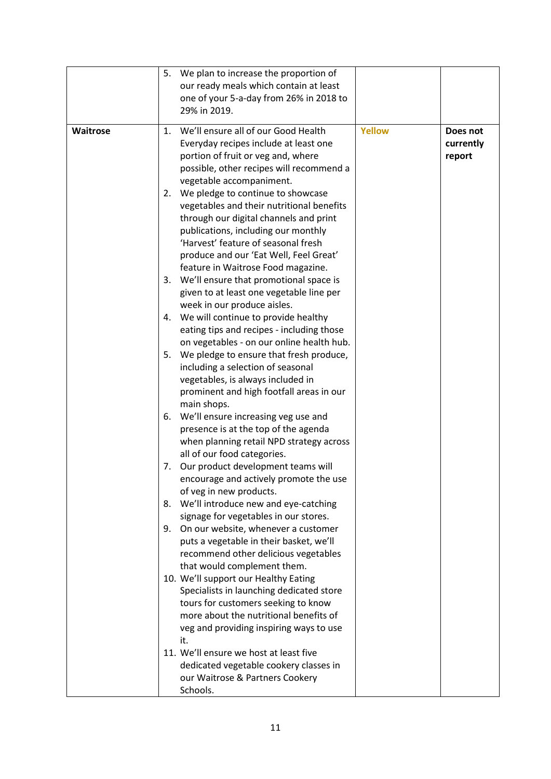|                 | 5. | We plan to increase the proportion of<br>our ready meals which contain at least<br>one of your 5-a-day from 26% in 2018 to<br>29% in 2019.                                                                                                                                                |               |                                 |
|-----------------|----|-------------------------------------------------------------------------------------------------------------------------------------------------------------------------------------------------------------------------------------------------------------------------------------------|---------------|---------------------------------|
| <b>Waitrose</b> |    | 1. We'll ensure all of our Good Health<br>Everyday recipes include at least one<br>portion of fruit or veg and, where<br>possible, other recipes will recommend a<br>vegetable accompaniment.                                                                                             | <b>Yellow</b> | Does not<br>currently<br>report |
|                 |    | 2. We pledge to continue to showcase<br>vegetables and their nutritional benefits<br>through our digital channels and print<br>publications, including our monthly<br>'Harvest' feature of seasonal fresh<br>produce and our 'Eat Well, Feel Great'<br>feature in Waitrose Food magazine. |               |                                 |
|                 |    | 3. We'll ensure that promotional space is<br>given to at least one vegetable line per<br>week in our produce aisles.                                                                                                                                                                      |               |                                 |
|                 |    | 4. We will continue to provide healthy<br>eating tips and recipes - including those<br>on vegetables - on our online health hub.                                                                                                                                                          |               |                                 |
|                 |    | 5. We pledge to ensure that fresh produce,<br>including a selection of seasonal<br>vegetables, is always included in<br>prominent and high footfall areas in our<br>main shops.                                                                                                           |               |                                 |
|                 |    | 6. We'll ensure increasing veg use and<br>presence is at the top of the agenda<br>when planning retail NPD strategy across<br>all of our food categories.                                                                                                                                 |               |                                 |
|                 | 7. | Our product development teams will<br>encourage and actively promote the use<br>of veg in new products.                                                                                                                                                                                   |               |                                 |
|                 | 8. | We'll introduce new and eye-catching<br>signage for vegetables in our stores.<br>9. On our website, whenever a customer                                                                                                                                                                   |               |                                 |
|                 |    | puts a vegetable in their basket, we'll<br>recommend other delicious vegetables<br>that would complement them.                                                                                                                                                                            |               |                                 |
|                 |    | 10. We'll support our Healthy Eating<br>Specialists in launching dedicated store<br>tours for customers seeking to know<br>more about the nutritional benefits of<br>veg and providing inspiring ways to use<br>it.                                                                       |               |                                 |
|                 |    | 11. We'll ensure we host at least five<br>dedicated vegetable cookery classes in<br>our Waitrose & Partners Cookery<br>Schools.                                                                                                                                                           |               |                                 |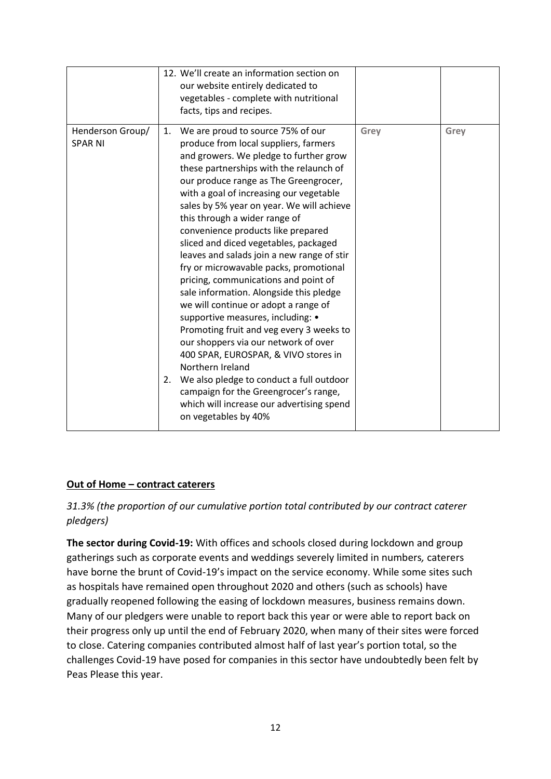|                                    | 12. We'll create an information section on<br>our website entirely dedicated to<br>vegetables - complete with nutritional<br>facts, tips and recipes.                                                                                                                                                                                                                                                                                                                                                                                                                                                                                                                                                                                                                                                                                                                                                                                                                                       |      |      |
|------------------------------------|---------------------------------------------------------------------------------------------------------------------------------------------------------------------------------------------------------------------------------------------------------------------------------------------------------------------------------------------------------------------------------------------------------------------------------------------------------------------------------------------------------------------------------------------------------------------------------------------------------------------------------------------------------------------------------------------------------------------------------------------------------------------------------------------------------------------------------------------------------------------------------------------------------------------------------------------------------------------------------------------|------|------|
| Henderson Group/<br><b>SPAR NI</b> | 1. We are proud to source 75% of our<br>produce from local suppliers, farmers<br>and growers. We pledge to further grow<br>these partnerships with the relaunch of<br>our produce range as The Greengrocer,<br>with a goal of increasing our vegetable<br>sales by 5% year on year. We will achieve<br>this through a wider range of<br>convenience products like prepared<br>sliced and diced vegetables, packaged<br>leaves and salads join a new range of stir<br>fry or microwavable packs, promotional<br>pricing, communications and point of<br>sale information. Alongside this pledge<br>we will continue or adopt a range of<br>supportive measures, including: •<br>Promoting fruit and veg every 3 weeks to<br>our shoppers via our network of over<br>400 SPAR, EUROSPAR, & VIVO stores in<br>Northern Ireland<br>We also pledge to conduct a full outdoor<br>2.<br>campaign for the Greengrocer's range,<br>which will increase our advertising spend<br>on vegetables by 40% | Grey | Grey |

#### **Out of Home – contract caterers**

*31.3% (the proportion of our cumulative portion total contributed by our contract caterer pledgers)*

**The sector during Covid-19:** With offices and schools closed during lockdown and group gatherings such as corporate events and weddings severely limited in numbers*,* caterers have borne the brunt of Covid-19's impact on the service economy. While some sites such as hospitals have remained open throughout 2020 and others (such as schools) have gradually reopened following the easing of lockdown measures, business remains down. Many of our pledgers were unable to report back this year or were able to report back on their progress only up until the end of February 2020, when many of their sites were forced to close. Catering companies contributed almost half of last year's portion total, so the challenges Covid-19 have posed for companies in this sector have undoubtedly been felt by Peas Please this year.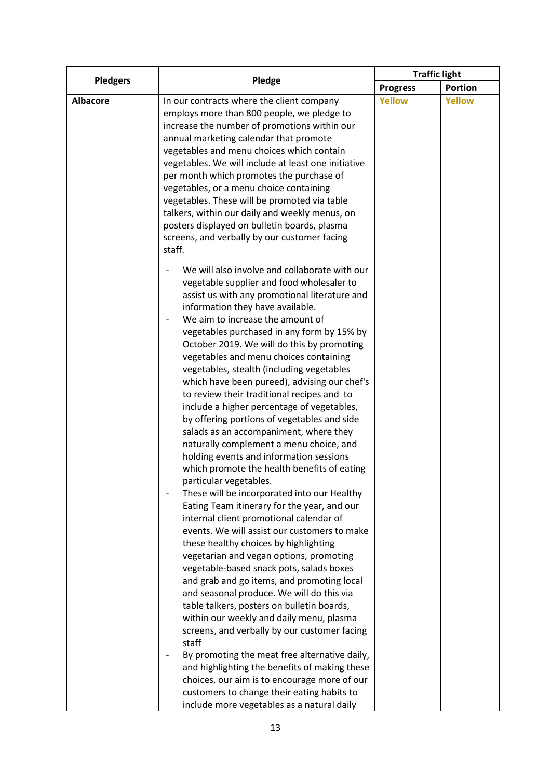| <b>Pledgers</b> | Pledge                                                                                                                                                                                                                                                                                                                                                                                                                                                                                                                                                                                                                                                                                                                                                                                                                                                                                                                                                                                                                                                                                                                                                                                                                                                                                                                                                                                                                                                                                                                                                                                                                                                      | <b>Traffic light</b> |               |
|-----------------|-------------------------------------------------------------------------------------------------------------------------------------------------------------------------------------------------------------------------------------------------------------------------------------------------------------------------------------------------------------------------------------------------------------------------------------------------------------------------------------------------------------------------------------------------------------------------------------------------------------------------------------------------------------------------------------------------------------------------------------------------------------------------------------------------------------------------------------------------------------------------------------------------------------------------------------------------------------------------------------------------------------------------------------------------------------------------------------------------------------------------------------------------------------------------------------------------------------------------------------------------------------------------------------------------------------------------------------------------------------------------------------------------------------------------------------------------------------------------------------------------------------------------------------------------------------------------------------------------------------------------------------------------------------|----------------------|---------------|
|                 |                                                                                                                                                                                                                                                                                                                                                                                                                                                                                                                                                                                                                                                                                                                                                                                                                                                                                                                                                                                                                                                                                                                                                                                                                                                                                                                                                                                                                                                                                                                                                                                                                                                             | <b>Progress</b>      | Portion       |
| <b>Albacore</b> | In our contracts where the client company<br>employs more than 800 people, we pledge to<br>increase the number of promotions within our<br>annual marketing calendar that promote<br>vegetables and menu choices which contain<br>vegetables. We will include at least one initiative<br>per month which promotes the purchase of<br>vegetables, or a menu choice containing<br>vegetables. These will be promoted via table<br>talkers, within our daily and weekly menus, on<br>posters displayed on bulletin boards, plasma<br>screens, and verbally by our customer facing<br>staff.                                                                                                                                                                                                                                                                                                                                                                                                                                                                                                                                                                                                                                                                                                                                                                                                                                                                                                                                                                                                                                                                    | <b>Yellow</b>        | <b>Yellow</b> |
|                 | We will also involve and collaborate with our<br>vegetable supplier and food wholesaler to<br>assist us with any promotional literature and<br>information they have available.<br>We aim to increase the amount of<br>$\overline{\phantom{0}}$<br>vegetables purchased in any form by 15% by<br>October 2019. We will do this by promoting<br>vegetables and menu choices containing<br>vegetables, stealth (including vegetables<br>which have been pureed), advising our chef's<br>to review their traditional recipes and to<br>include a higher percentage of vegetables,<br>by offering portions of vegetables and side<br>salads as an accompaniment, where they<br>naturally complement a menu choice, and<br>holding events and information sessions<br>which promote the health benefits of eating<br>particular vegetables.<br>These will be incorporated into our Healthy<br>Eating Team itinerary for the year, and our<br>internal client promotional calendar of<br>events. We will assist our customers to make<br>these healthy choices by highlighting<br>vegetarian and vegan options, promoting<br>vegetable-based snack pots, salads boxes<br>and grab and go items, and promoting local<br>and seasonal produce. We will do this via<br>table talkers, posters on bulletin boards,<br>within our weekly and daily menu, plasma<br>screens, and verbally by our customer facing<br>staff<br>By promoting the meat free alternative daily,<br>and highlighting the benefits of making these<br>choices, our aim is to encourage more of our<br>customers to change their eating habits to<br>include more vegetables as a natural daily |                      |               |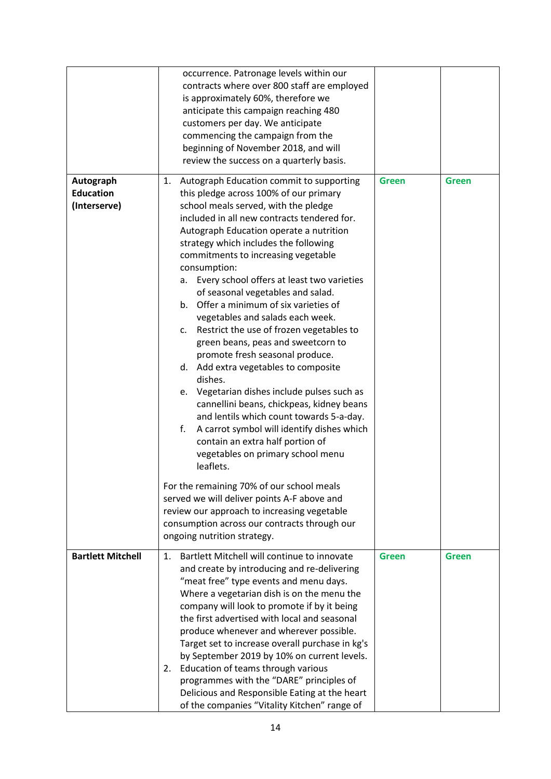|                                               | occurrence. Patronage levels within our<br>contracts where over 800 staff are employed<br>is approximately 60%, therefore we<br>anticipate this campaign reaching 480<br>customers per day. We anticipate<br>commencing the campaign from the<br>beginning of November 2018, and will<br>review the success on a quarterly basis.                                                                                                                                                                                                                                                                                                                                                                                                                                                                                                                                                                                                                                                                                                                                                                                                                                                                 |              |              |
|-----------------------------------------------|---------------------------------------------------------------------------------------------------------------------------------------------------------------------------------------------------------------------------------------------------------------------------------------------------------------------------------------------------------------------------------------------------------------------------------------------------------------------------------------------------------------------------------------------------------------------------------------------------------------------------------------------------------------------------------------------------------------------------------------------------------------------------------------------------------------------------------------------------------------------------------------------------------------------------------------------------------------------------------------------------------------------------------------------------------------------------------------------------------------------------------------------------------------------------------------------------|--------------|--------------|
| Autograph<br><b>Education</b><br>(Interserve) | Autograph Education commit to supporting<br>1.<br>this pledge across 100% of our primary<br>school meals served, with the pledge<br>included in all new contracts tendered for.<br>Autograph Education operate a nutrition<br>strategy which includes the following<br>commitments to increasing vegetable<br>consumption:<br>Every school offers at least two varieties<br>а.<br>of seasonal vegetables and salad.<br>b. Offer a minimum of six varieties of<br>vegetables and salads each week.<br>Restrict the use of frozen vegetables to<br>c.<br>green beans, peas and sweetcorn to<br>promote fresh seasonal produce.<br>Add extra vegetables to composite<br>d.<br>dishes.<br>Vegetarian dishes include pulses such as<br>e.<br>cannellini beans, chickpeas, kidney beans<br>and lentils which count towards 5-a-day.<br>f.<br>A carrot symbol will identify dishes which<br>contain an extra half portion of<br>vegetables on primary school menu<br>leaflets.<br>For the remaining 70% of our school meals<br>served we will deliver points A-F above and<br>review our approach to increasing vegetable<br>consumption across our contracts through our<br>ongoing nutrition strategy. | <b>Green</b> | <b>Green</b> |
| <b>Bartlett Mitchell</b>                      | Bartlett Mitchell will continue to innovate<br>1.<br>and create by introducing and re-delivering<br>"meat free" type events and menu days.<br>Where a vegetarian dish is on the menu the<br>company will look to promote if by it being<br>the first advertised with local and seasonal<br>produce whenever and wherever possible.<br>Target set to increase overall purchase in kg's<br>by September 2019 by 10% on current levels.<br>Education of teams through various<br>2.<br>programmes with the "DARE" principles of<br>Delicious and Responsible Eating at the heart<br>of the companies "Vitality Kitchen" range of                                                                                                                                                                                                                                                                                                                                                                                                                                                                                                                                                                     | <b>Green</b> | <b>Green</b> |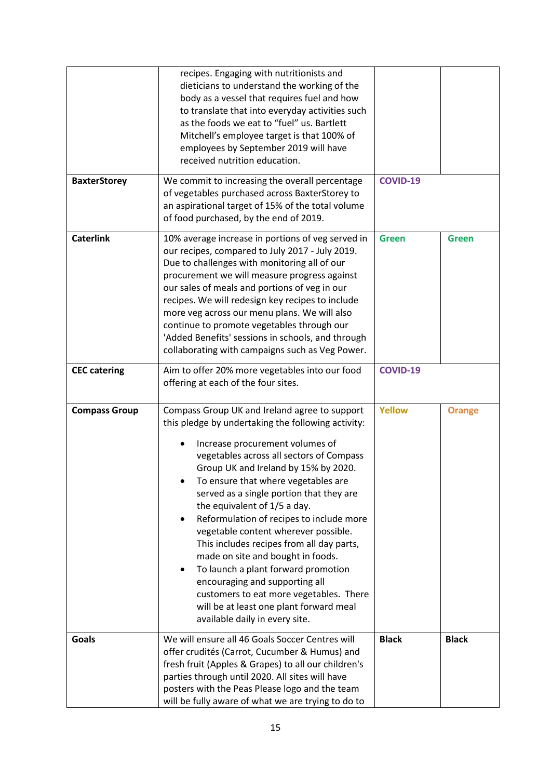|                      | recipes. Engaging with nutritionists and<br>dieticians to understand the working of the<br>body as a vessel that requires fuel and how<br>to translate that into everyday activities such<br>as the foods we eat to "fuel" us. Bartlett<br>Mitchell's employee target is that 100% of<br>employees by September 2019 will have<br>received nutrition education.                                                                                                                                                                                                                                                                                                                                                      |                 |               |
|----------------------|----------------------------------------------------------------------------------------------------------------------------------------------------------------------------------------------------------------------------------------------------------------------------------------------------------------------------------------------------------------------------------------------------------------------------------------------------------------------------------------------------------------------------------------------------------------------------------------------------------------------------------------------------------------------------------------------------------------------|-----------------|---------------|
| <b>BaxterStorey</b>  | We commit to increasing the overall percentage<br>of vegetables purchased across BaxterStorey to<br>an aspirational target of 15% of the total volume<br>of food purchased, by the end of 2019.                                                                                                                                                                                                                                                                                                                                                                                                                                                                                                                      | <b>COVID-19</b> |               |
| <b>Caterlink</b>     | 10% average increase in portions of veg served in<br>our recipes, compared to July 2017 - July 2019.<br>Due to challenges with monitoring all of our<br>procurement we will measure progress against<br>our sales of meals and portions of veg in our<br>recipes. We will redesign key recipes to include<br>more veg across our menu plans. We will also<br>continue to promote vegetables through our<br>'Added Benefits' sessions in schools, and through<br>collaborating with campaigns such as Veg Power.                                                                                                                                                                                                      | <b>Green</b>    | <b>Green</b>  |
| <b>CEC</b> catering  | Aim to offer 20% more vegetables into our food<br>offering at each of the four sites.                                                                                                                                                                                                                                                                                                                                                                                                                                                                                                                                                                                                                                | <b>COVID-19</b> |               |
| <b>Compass Group</b> | Compass Group UK and Ireland agree to support<br>this pledge by undertaking the following activity:<br>Increase procurement volumes of<br>vegetables across all sectors of Compass<br>Group UK and Ireland by 15% by 2020.<br>To ensure that where vegetables are<br>served as a single portion that they are<br>the equivalent of 1/5 a day.<br>Reformulation of recipes to include more<br>vegetable content wherever possible.<br>This includes recipes from all day parts,<br>made on site and bought in foods.<br>To launch a plant forward promotion<br>encouraging and supporting all<br>customers to eat more vegetables. There<br>will be at least one plant forward meal<br>available daily in every site. | <b>Yellow</b>   | <b>Orange</b> |
| Goals                | We will ensure all 46 Goals Soccer Centres will<br>offer crudités (Carrot, Cucumber & Humus) and<br>fresh fruit (Apples & Grapes) to all our children's<br>parties through until 2020. All sites will have<br>posters with the Peas Please logo and the team<br>will be fully aware of what we are trying to do to                                                                                                                                                                                                                                                                                                                                                                                                   | <b>Black</b>    | <b>Black</b>  |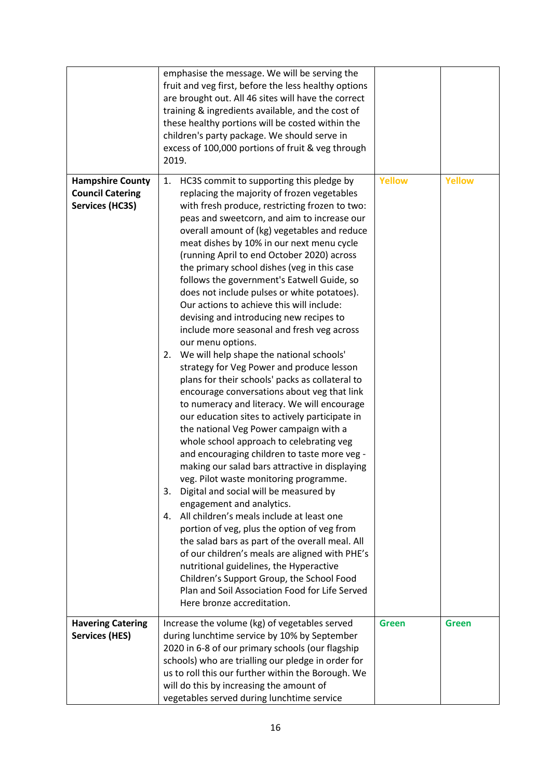|                                                                              | emphasise the message. We will be serving the<br>fruit and veg first, before the less healthy options<br>are brought out. All 46 sites will have the correct<br>training & ingredients available, and the cost of<br>these healthy portions will be costed within the<br>children's party package. We should serve in<br>excess of 100,000 portions of fruit & veg through<br>2019.                                                                                                                                                                                                                                                                                                                                                                                                                                                                                                                                                                                                                                                                                                                                                                                                                                                                                                                                                                                                                                                                                                                                                                                                                                                           |               |               |
|------------------------------------------------------------------------------|-----------------------------------------------------------------------------------------------------------------------------------------------------------------------------------------------------------------------------------------------------------------------------------------------------------------------------------------------------------------------------------------------------------------------------------------------------------------------------------------------------------------------------------------------------------------------------------------------------------------------------------------------------------------------------------------------------------------------------------------------------------------------------------------------------------------------------------------------------------------------------------------------------------------------------------------------------------------------------------------------------------------------------------------------------------------------------------------------------------------------------------------------------------------------------------------------------------------------------------------------------------------------------------------------------------------------------------------------------------------------------------------------------------------------------------------------------------------------------------------------------------------------------------------------------------------------------------------------------------------------------------------------|---------------|---------------|
| <b>Hampshire County</b><br><b>Council Catering</b><br><b>Services (HC3S)</b> | HC3S commit to supporting this pledge by<br>1.<br>replacing the majority of frozen vegetables<br>with fresh produce, restricting frozen to two:<br>peas and sweetcorn, and aim to increase our<br>overall amount of (kg) vegetables and reduce<br>meat dishes by 10% in our next menu cycle<br>(running April to end October 2020) across<br>the primary school dishes (veg in this case<br>follows the government's Eatwell Guide, so<br>does not include pulses or white potatoes).<br>Our actions to achieve this will include:<br>devising and introducing new recipes to<br>include more seasonal and fresh veg across<br>our menu options.<br>2. We will help shape the national schools'<br>strategy for Veg Power and produce lesson<br>plans for their schools' packs as collateral to<br>encourage conversations about veg that link<br>to numeracy and literacy. We will encourage<br>our education sites to actively participate in<br>the national Veg Power campaign with a<br>whole school approach to celebrating veg<br>and encouraging children to taste more veg -<br>making our salad bars attractive in displaying<br>veg. Pilot waste monitoring programme.<br>Digital and social will be measured by<br>3.<br>engagement and analytics.<br>All children's meals include at least one<br>4.<br>portion of veg, plus the option of veg from<br>the salad bars as part of the overall meal. All<br>of our children's meals are aligned with PHE's<br>nutritional guidelines, the Hyperactive<br>Children's Support Group, the School Food<br>Plan and Soil Association Food for Life Served<br>Here bronze accreditation. | <b>Yellow</b> | <b>Yellow</b> |
| <b>Havering Catering</b><br><b>Services (HES)</b>                            | Increase the volume (kg) of vegetables served<br>during lunchtime service by 10% by September<br>2020 in 6-8 of our primary schools (our flagship<br>schools) who are trialling our pledge in order for<br>us to roll this our further within the Borough. We<br>will do this by increasing the amount of<br>vegetables served during lunchtime service                                                                                                                                                                                                                                                                                                                                                                                                                                                                                                                                                                                                                                                                                                                                                                                                                                                                                                                                                                                                                                                                                                                                                                                                                                                                                       | <b>Green</b>  | <b>Green</b>  |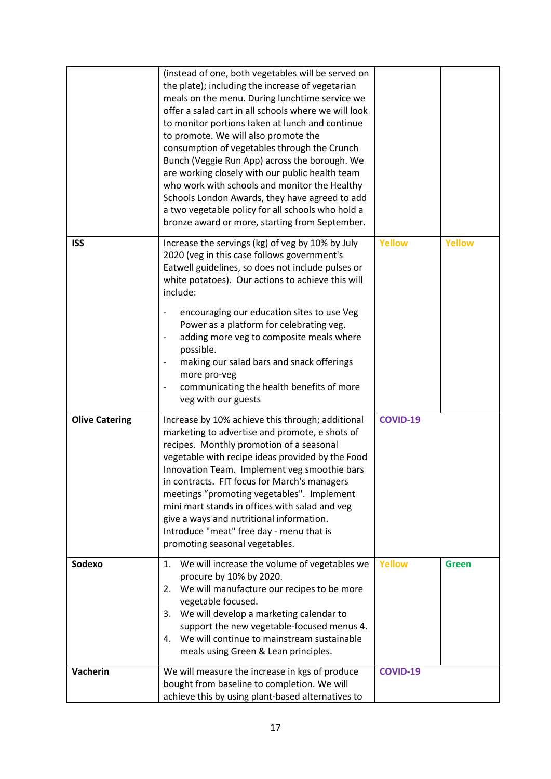|                       | (instead of one, both vegetables will be served on<br>the plate); including the increase of vegetarian<br>meals on the menu. During lunchtime service we<br>offer a salad cart in all schools where we will look<br>to monitor portions taken at lunch and continue<br>to promote. We will also promote the<br>consumption of vegetables through the Crunch<br>Bunch (Veggie Run App) across the borough. We<br>are working closely with our public health team<br>who work with schools and monitor the Healthy<br>Schools London Awards, they have agreed to add<br>a two vegetable policy for all schools who hold a<br>bronze award or more, starting from September. |                 |               |
|-----------------------|---------------------------------------------------------------------------------------------------------------------------------------------------------------------------------------------------------------------------------------------------------------------------------------------------------------------------------------------------------------------------------------------------------------------------------------------------------------------------------------------------------------------------------------------------------------------------------------------------------------------------------------------------------------------------|-----------------|---------------|
| <b>ISS</b>            | Increase the servings (kg) of veg by 10% by July<br>2020 (veg in this case follows government's<br>Eatwell guidelines, so does not include pulses or<br>white potatoes). Our actions to achieve this will<br>include:<br>encouraging our education sites to use Veg<br>Power as a platform for celebrating veg.<br>adding more veg to composite meals where<br>possible.<br>making our salad bars and snack offerings<br>more pro-veg<br>communicating the health benefits of more<br>veg with our guests                                                                                                                                                                 | <b>Yellow</b>   | <b>Yellow</b> |
| <b>Olive Catering</b> | Increase by 10% achieve this through; additional<br>marketing to advertise and promote, e shots of<br>recipes. Monthly promotion of a seasonal<br>vegetable with recipe ideas provided by the Food<br>Innovation Team. Implement veg smoothie bars<br>in contracts. FIT focus for March's managers<br>meetings "promoting vegetables". Implement<br>mini mart stands in offices with salad and veg<br>give a ways and nutritional information.<br>Introduce "meat" free day - menu that is<br>promoting seasonal vegetables.                                                                                                                                              | <b>COVID-19</b> |               |
| Sodexo                | We will increase the volume of vegetables we<br>1.<br>procure by 10% by 2020.<br>We will manufacture our recipes to be more<br>2.<br>vegetable focused.<br>3. We will develop a marketing calendar to<br>support the new vegetable-focused menus 4.<br>4. We will continue to mainstream sustainable<br>meals using Green & Lean principles.                                                                                                                                                                                                                                                                                                                              | <b>Yellow</b>   | <b>Green</b>  |
| Vacherin              | We will measure the increase in kgs of produce<br>bought from baseline to completion. We will<br>achieve this by using plant-based alternatives to                                                                                                                                                                                                                                                                                                                                                                                                                                                                                                                        | <b>COVID-19</b> |               |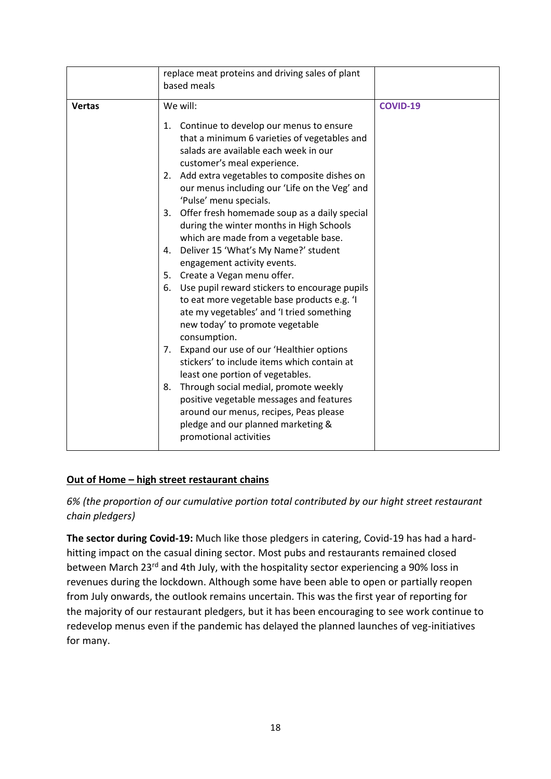|               | replace meat proteins and driving sales of plant<br>based meals                                                                                                                                    |                 |
|---------------|----------------------------------------------------------------------------------------------------------------------------------------------------------------------------------------------------|-----------------|
| <b>Vertas</b> | We will:                                                                                                                                                                                           | <b>COVID-19</b> |
|               | 1. Continue to develop our menus to ensure<br>that a minimum 6 varieties of vegetables and<br>salads are available each week in our<br>customer's meal experience.                                 |                 |
|               | 2. Add extra vegetables to composite dishes on<br>our menus including our 'Life on the Veg' and<br>'Pulse' menu specials.                                                                          |                 |
|               | 3. Offer fresh homemade soup as a daily special<br>during the winter months in High Schools<br>which are made from a vegetable base.                                                               |                 |
|               | Deliver 15 'What's My Name?' student<br>4.<br>engagement activity events.                                                                                                                          |                 |
|               | 5. Create a Vegan menu offer.                                                                                                                                                                      |                 |
|               | Use pupil reward stickers to encourage pupils<br>6.<br>to eat more vegetable base products e.g. 'I<br>ate my vegetables' and 'I tried something<br>new today' to promote vegetable<br>consumption. |                 |
|               | Expand our use of our 'Healthier options<br>7.<br>stickers' to include items which contain at<br>least one portion of vegetables.                                                                  |                 |
|               | Through social medial, promote weekly<br>8.<br>positive vegetable messages and features<br>around our menus, recipes, Peas please<br>pledge and our planned marketing &<br>promotional activities  |                 |

#### **Out of Home – high street restaurant chains**

*6% (the proportion of our cumulative portion total contributed by our hight street restaurant chain pledgers)*

**The sector during Covid-19:** Much like those pledgers in catering, Covid-19 has had a hardhitting impact on the casual dining sector. Most pubs and restaurants remained closed between March 23rd and 4th July, with the hospitality sector experiencing a 90% loss in revenues during the lockdown. Although some have been able to open or partially reopen from July onwards, the outlook remains uncertain. This was the first year of reporting for the majority of our restaurant pledgers, but it has been encouraging to see work continue to redevelop menus even if the pandemic has delayed the planned launches of veg-initiatives for many.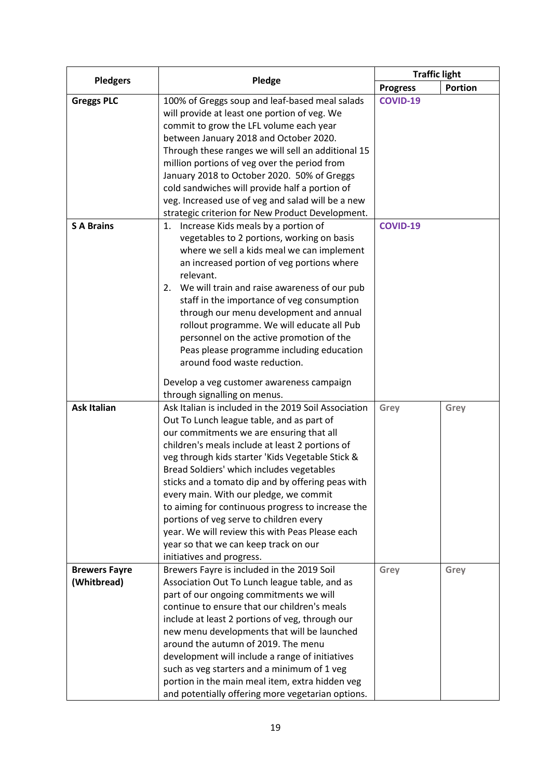| <b>Pledgers</b>      | Pledge                                               | <b>Traffic light</b> |                |
|----------------------|------------------------------------------------------|----------------------|----------------|
|                      |                                                      | <b>Progress</b>      | <b>Portion</b> |
| <b>Greggs PLC</b>    | 100% of Greggs soup and leaf-based meal salads       | <b>COVID-19</b>      |                |
|                      | will provide at least one portion of veg. We         |                      |                |
|                      | commit to grow the LFL volume each year              |                      |                |
|                      | between January 2018 and October 2020.               |                      |                |
|                      | Through these ranges we will sell an additional 15   |                      |                |
|                      | million portions of veg over the period from         |                      |                |
|                      | January 2018 to October 2020. 50% of Greggs          |                      |                |
|                      | cold sandwiches will provide half a portion of       |                      |                |
|                      | veg. Increased use of veg and salad will be a new    |                      |                |
|                      | strategic criterion for New Product Development.     |                      |                |
| <b>S A Brains</b>    | Increase Kids meals by a portion of<br>1.            | <b>COVID-19</b>      |                |
|                      | vegetables to 2 portions, working on basis           |                      |                |
|                      | where we sell a kids meal we can implement           |                      |                |
|                      | an increased portion of veg portions where           |                      |                |
|                      | relevant.                                            |                      |                |
|                      | 2. We will train and raise awareness of our pub      |                      |                |
|                      | staff in the importance of veg consumption           |                      |                |
|                      | through our menu development and annual              |                      |                |
|                      | rollout programme. We will educate all Pub           |                      |                |
|                      | personnel on the active promotion of the             |                      |                |
|                      | Peas please programme including education            |                      |                |
|                      | around food waste reduction.                         |                      |                |
|                      | Develop a veg customer awareness campaign            |                      |                |
|                      | through signalling on menus.                         |                      |                |
| <b>Ask Italian</b>   | Ask Italian is included in the 2019 Soil Association | Grey                 | Grey           |
|                      | Out To Lunch league table, and as part of            |                      |                |
|                      | our commitments we are ensuring that all             |                      |                |
|                      | children's meals include at least 2 portions of      |                      |                |
|                      | veg through kids starter 'Kids Vegetable Stick &     |                      |                |
|                      | Bread Soldiers' which includes vegetables            |                      |                |
|                      | sticks and a tomato dip and by offering peas with    |                      |                |
|                      | every main. With our pledge, we commit               |                      |                |
|                      | to aiming for continuous progress to increase the    |                      |                |
|                      | portions of veg serve to children every              |                      |                |
|                      | year. We will review this with Peas Please each      |                      |                |
|                      | year so that we can keep track on our                |                      |                |
|                      | initiatives and progress.                            |                      |                |
| <b>Brewers Fayre</b> | Brewers Fayre is included in the 2019 Soil           | Grey                 | Grey           |
| (Whitbread)          | Association Out To Lunch league table, and as        |                      |                |
|                      | part of our ongoing commitments we will              |                      |                |
|                      | continue to ensure that our children's meals         |                      |                |
|                      | include at least 2 portions of veg, through our      |                      |                |
|                      | new menu developments that will be launched          |                      |                |
|                      | around the autumn of 2019. The menu                  |                      |                |
|                      | development will include a range of initiatives      |                      |                |
|                      | such as veg starters and a minimum of 1 veg          |                      |                |
|                      | portion in the main meal item, extra hidden veg      |                      |                |
|                      | and potentially offering more vegetarian options.    |                      |                |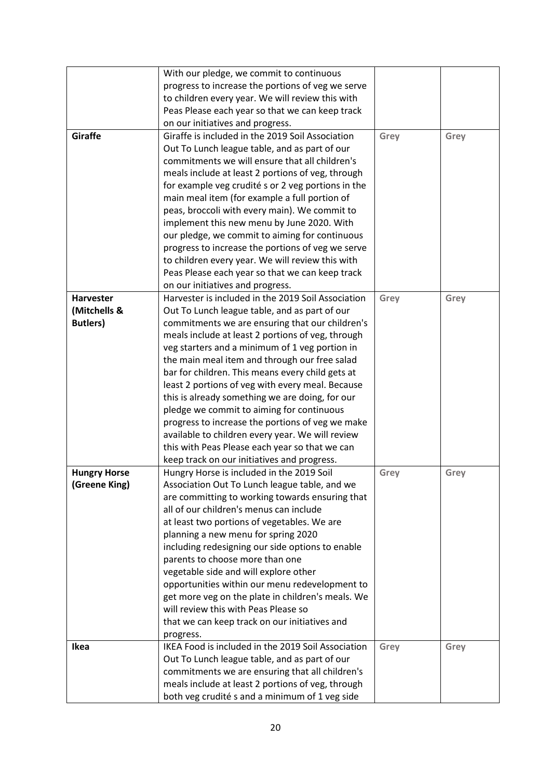|                     | With our pledge, we commit to continuous           |      |      |
|---------------------|----------------------------------------------------|------|------|
|                     | progress to increase the portions of veg we serve  |      |      |
|                     | to children every year. We will review this with   |      |      |
|                     | Peas Please each year so that we can keep track    |      |      |
|                     | on our initiatives and progress.                   |      |      |
| Giraffe             | Giraffe is included in the 2019 Soil Association   | Grey | Grey |
|                     | Out To Lunch league table, and as part of our      |      |      |
|                     | commitments we will ensure that all children's     |      |      |
|                     | meals include at least 2 portions of veg, through  |      |      |
|                     | for example veg crudité s or 2 veg portions in the |      |      |
|                     | main meal item (for example a full portion of      |      |      |
|                     | peas, broccoli with every main). We commit to      |      |      |
|                     | implement this new menu by June 2020. With         |      |      |
|                     | our pledge, we commit to aiming for continuous     |      |      |
|                     | progress to increase the portions of veg we serve  |      |      |
|                     | to children every year. We will review this with   |      |      |
|                     | Peas Please each year so that we can keep track    |      |      |
|                     | on our initiatives and progress.                   |      |      |
| Harvester           | Harvester is included in the 2019 Soil Association | Grey | Grey |
| (Mitchells &        | Out To Lunch league table, and as part of our      |      |      |
| <b>Butlers)</b>     | commitments we are ensuring that our children's    |      |      |
|                     | meals include at least 2 portions of veg, through  |      |      |
|                     | veg starters and a minimum of 1 veg portion in     |      |      |
|                     | the main meal item and through our free salad      |      |      |
|                     | bar for children. This means every child gets at   |      |      |
|                     | least 2 portions of veg with every meal. Because   |      |      |
|                     | this is already something we are doing, for our    |      |      |
|                     | pledge we commit to aiming for continuous          |      |      |
|                     | progress to increase the portions of veg we make   |      |      |
|                     | available to children every year. We will review   |      |      |
|                     | this with Peas Please each year so that we can     |      |      |
|                     | keep track on our initiatives and progress.        |      |      |
| <b>Hungry Horse</b> | Hungry Horse is included in the 2019 Soil          | Grey | Grey |
| (Greene King)       | Association Out To Lunch league table, and we      |      |      |
|                     | are committing to working towards ensuring that    |      |      |
|                     | all of our children's menus can include            |      |      |
|                     | at least two portions of vegetables. We are        |      |      |
|                     | planning a new menu for spring 2020                |      |      |
|                     | including redesigning our side options to enable   |      |      |
|                     | parents to choose more than one                    |      |      |
|                     | vegetable side and will explore other              |      |      |
|                     | opportunities within our menu redevelopment to     |      |      |
|                     | get more veg on the plate in children's meals. We  |      |      |
|                     | will review this with Peas Please so               |      |      |
|                     | that we can keep track on our initiatives and      |      |      |
|                     | progress.                                          |      |      |
| Ikea                | IKEA Food is included in the 2019 Soil Association | Grey | Grey |
|                     | Out To Lunch league table, and as part of our      |      |      |
|                     | commitments we are ensuring that all children's    |      |      |
|                     | meals include at least 2 portions of veg, through  |      |      |
|                     | both veg crudité s and a minimum of 1 veg side     |      |      |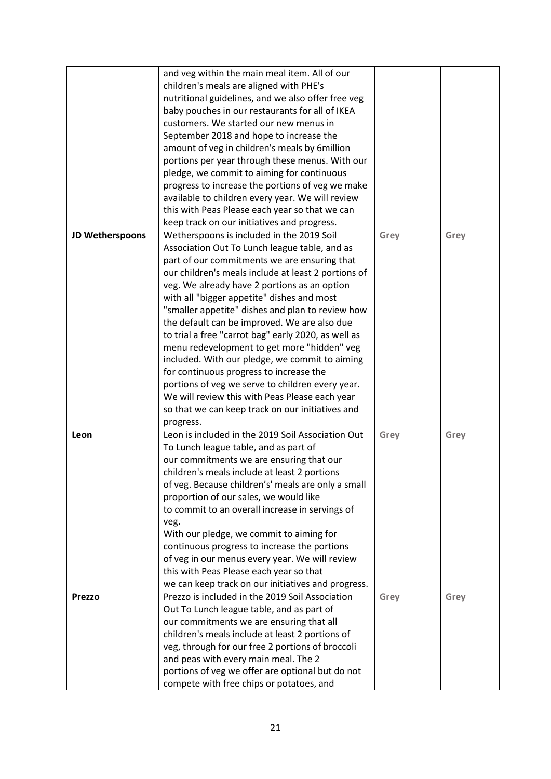|                 | and veg within the main meal item. All of our                                                       |      |      |
|-----------------|-----------------------------------------------------------------------------------------------------|------|------|
|                 | children's meals are aligned with PHE's                                                             |      |      |
|                 | nutritional guidelines, and we also offer free veg                                                  |      |      |
|                 | baby pouches in our restaurants for all of IKEA                                                     |      |      |
|                 | customers. We started our new menus in                                                              |      |      |
|                 | September 2018 and hope to increase the                                                             |      |      |
|                 | amount of veg in children's meals by 6million                                                       |      |      |
|                 | portions per year through these menus. With our                                                     |      |      |
|                 | pledge, we commit to aiming for continuous                                                          |      |      |
|                 | progress to increase the portions of veg we make                                                    |      |      |
|                 | available to children every year. We will review                                                    |      |      |
|                 | this with Peas Please each year so that we can                                                      |      |      |
|                 | keep track on our initiatives and progress.                                                         |      |      |
| JD Wetherspoons | Wetherspoons is included in the 2019 Soil                                                           | Grey | Grey |
|                 | Association Out To Lunch league table, and as                                                       |      |      |
|                 | part of our commitments we are ensuring that                                                        |      |      |
|                 | our children's meals include at least 2 portions of                                                 |      |      |
|                 | veg. We already have 2 portions as an option                                                        |      |      |
|                 | with all "bigger appetite" dishes and most                                                          |      |      |
|                 | "smaller appetite" dishes and plan to review how                                                    |      |      |
|                 | the default can be improved. We are also due                                                        |      |      |
|                 | to trial a free "carrot bag" early 2020, as well as                                                 |      |      |
|                 | menu redevelopment to get more "hidden" veg                                                         |      |      |
|                 | included. With our pledge, we commit to aiming                                                      |      |      |
|                 | for continuous progress to increase the                                                             |      |      |
|                 | portions of veg we serve to children every year.                                                    |      |      |
|                 | We will review this with Peas Please each year                                                      |      |      |
|                 | so that we can keep track on our initiatives and                                                    |      |      |
|                 | progress.                                                                                           |      |      |
| Leon            | Leon is included in the 2019 Soil Association Out                                                   | Grey | Grey |
|                 | To Lunch league table, and as part of                                                               |      |      |
|                 | our commitments we are ensuring that our                                                            |      |      |
|                 | children's meals include at least 2 portions                                                        |      |      |
|                 | of veg. Because children's' meals are only a small                                                  |      |      |
|                 | proportion of our sales, we would like                                                              |      |      |
|                 | to commit to an overall increase in servings of                                                     |      |      |
|                 |                                                                                                     |      |      |
|                 | veg.<br>With our pledge, we commit to aiming for                                                    |      |      |
|                 | continuous progress to increase the portions                                                        |      |      |
|                 | of veg in our menus every year. We will review                                                      |      |      |
|                 | this with Peas Please each year so that                                                             |      |      |
|                 | we can keep track on our initiatives and progress.                                                  |      |      |
| <b>Prezzo</b>   | Prezzo is included in the 2019 Soil Association                                                     |      |      |
|                 | Out To Lunch league table, and as part of                                                           | Grey | Grey |
|                 |                                                                                                     |      |      |
|                 | our commitments we are ensuring that all                                                            |      |      |
|                 | children's meals include at least 2 portions of<br>veg, through for our free 2 portions of broccoli |      |      |
|                 | and peas with every main meal. The 2                                                                |      |      |
|                 |                                                                                                     |      |      |
|                 | portions of veg we offer are optional but do not                                                    |      |      |
|                 | compete with free chips or potatoes, and                                                            |      |      |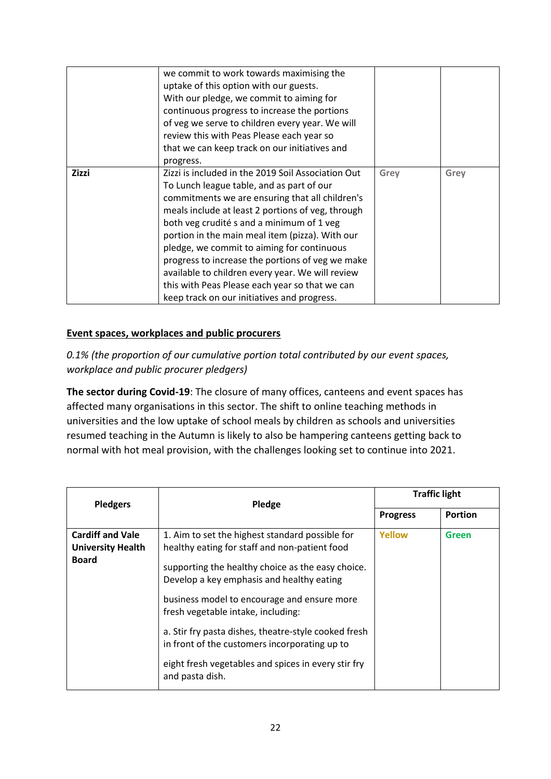|              | we commit to work towards maximising the<br>uptake of this option with our guests.<br>With our pledge, we commit to aiming for<br>continuous progress to increase the portions<br>of veg we serve to children every year. We will<br>review this with Peas Please each year so<br>that we can keep track on our initiatives and<br>progress.                                                                                                                                                                                                                   |      |      |
|--------------|----------------------------------------------------------------------------------------------------------------------------------------------------------------------------------------------------------------------------------------------------------------------------------------------------------------------------------------------------------------------------------------------------------------------------------------------------------------------------------------------------------------------------------------------------------------|------|------|
| <b>Zizzi</b> | Zizzi is included in the 2019 Soil Association Out<br>To Lunch league table, and as part of our<br>commitments we are ensuring that all children's<br>meals include at least 2 portions of veg, through<br>both veg crudité s and a minimum of 1 veg<br>portion in the main meal item (pizza). With our<br>pledge, we commit to aiming for continuous<br>progress to increase the portions of veg we make<br>available to children every year. We will review<br>this with Peas Please each year so that we can<br>keep track on our initiatives and progress. | Grey | Grey |

#### **Event spaces, workplaces and public procurers**

*0.1% (the proportion of our cumulative portion total contributed by our event spaces, workplace and public procurer pledgers)*

**The sector during Covid-19**: The closure of many offices, canteens and event spaces has affected many organisations in this sector. The shift to online teaching methods in universities and the low uptake of school meals by children as schools and universities resumed teaching in the Autumn is likely to also be hampering canteens getting back to normal with hot meal provision, with the challenges looking set to continue into 2021.

| <b>Pledgers</b>                                                     | Pledge                                                                                                                                                                                                                                                                                                                                                                                                                                                                     |                 | <b>Traffic light</b> |
|---------------------------------------------------------------------|----------------------------------------------------------------------------------------------------------------------------------------------------------------------------------------------------------------------------------------------------------------------------------------------------------------------------------------------------------------------------------------------------------------------------------------------------------------------------|-----------------|----------------------|
|                                                                     |                                                                                                                                                                                                                                                                                                                                                                                                                                                                            | <b>Progress</b> | <b>Portion</b>       |
| <b>Cardiff and Vale</b><br><b>University Health</b><br><b>Board</b> | 1. Aim to set the highest standard possible for<br>healthy eating for staff and non-patient food<br>supporting the healthy choice as the easy choice.<br>Develop a key emphasis and healthy eating<br>business model to encourage and ensure more<br>fresh vegetable intake, including:<br>a. Stir fry pasta dishes, theatre-style cooked fresh<br>in front of the customers incorporating up to<br>eight fresh vegetables and spices in every stir fry<br>and pasta dish. | Yellow          | Green                |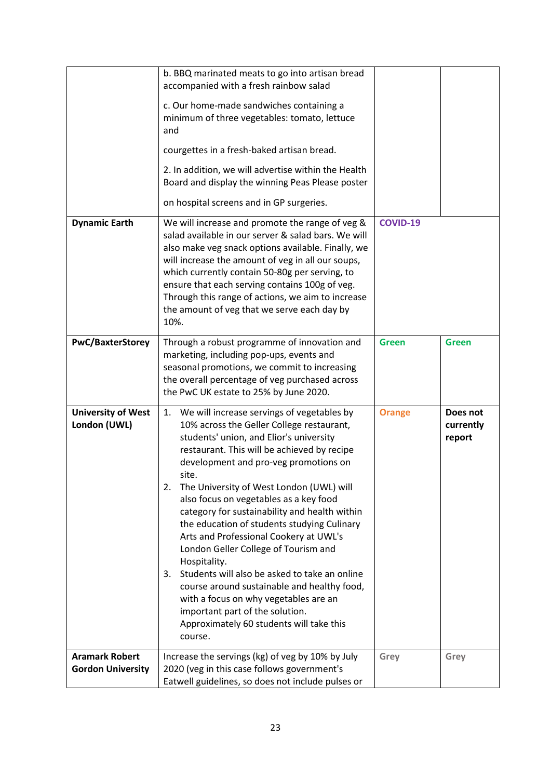|                                                   | b. BBQ marinated meats to go into artisan bread<br>accompanied with a fresh rainbow salad                                                                                                                                                                                                                                                                                                                                                                                                                                                                                                                                                                                                                                                                                        |                 |                                 |
|---------------------------------------------------|----------------------------------------------------------------------------------------------------------------------------------------------------------------------------------------------------------------------------------------------------------------------------------------------------------------------------------------------------------------------------------------------------------------------------------------------------------------------------------------------------------------------------------------------------------------------------------------------------------------------------------------------------------------------------------------------------------------------------------------------------------------------------------|-----------------|---------------------------------|
|                                                   | c. Our home-made sandwiches containing a<br>minimum of three vegetables: tomato, lettuce<br>and                                                                                                                                                                                                                                                                                                                                                                                                                                                                                                                                                                                                                                                                                  |                 |                                 |
|                                                   | courgettes in a fresh-baked artisan bread.                                                                                                                                                                                                                                                                                                                                                                                                                                                                                                                                                                                                                                                                                                                                       |                 |                                 |
|                                                   | 2. In addition, we will advertise within the Health<br>Board and display the winning Peas Please poster                                                                                                                                                                                                                                                                                                                                                                                                                                                                                                                                                                                                                                                                          |                 |                                 |
|                                                   | on hospital screens and in GP surgeries.                                                                                                                                                                                                                                                                                                                                                                                                                                                                                                                                                                                                                                                                                                                                         |                 |                                 |
| <b>Dynamic Earth</b>                              | We will increase and promote the range of veg &<br>salad available in our server & salad bars. We will<br>also make veg snack options available. Finally, we<br>will increase the amount of veg in all our soups,<br>which currently contain 50-80g per serving, to<br>ensure that each serving contains 100g of veg.<br>Through this range of actions, we aim to increase<br>the amount of veg that we serve each day by<br>10%.                                                                                                                                                                                                                                                                                                                                                | <b>COVID-19</b> |                                 |
| <b>PwC/BaxterStorey</b>                           | Through a robust programme of innovation and<br>marketing, including pop-ups, events and<br>seasonal promotions, we commit to increasing<br>the overall percentage of veg purchased across                                                                                                                                                                                                                                                                                                                                                                                                                                                                                                                                                                                       | <b>Green</b>    | <b>Green</b>                    |
|                                                   | the PwC UK estate to 25% by June 2020.                                                                                                                                                                                                                                                                                                                                                                                                                                                                                                                                                                                                                                                                                                                                           |                 |                                 |
| <b>University of West</b><br>London (UWL)         | We will increase servings of vegetables by<br>1.<br>10% across the Geller College restaurant,<br>students' union, and Elior's university<br>restaurant. This will be achieved by recipe<br>development and pro-veg promotions on<br>site.<br>The University of West London (UWL) will<br>2.<br>also focus on vegetables as a key food<br>category for sustainability and health within<br>the education of students studying Culinary<br>Arts and Professional Cookery at UWL's<br>London Geller College of Tourism and<br>Hospitality.<br>Students will also be asked to take an online<br>3.<br>course around sustainable and healthy food,<br>with a focus on why vegetables are an<br>important part of the solution.<br>Approximately 60 students will take this<br>course. | <b>Orange</b>   | Does not<br>currently<br>report |
| <b>Aramark Robert</b><br><b>Gordon University</b> | Increase the servings (kg) of veg by 10% by July<br>2020 (veg in this case follows government's                                                                                                                                                                                                                                                                                                                                                                                                                                                                                                                                                                                                                                                                                  | Grey            | Grey                            |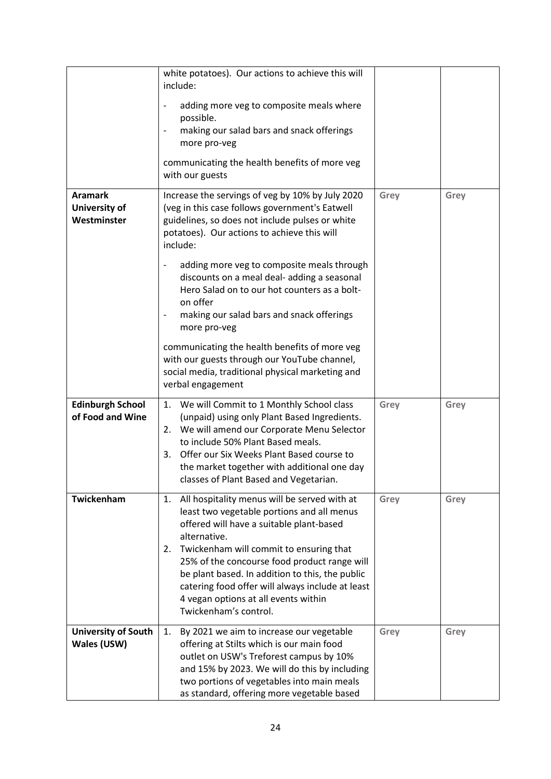|                                                       | white potatoes). Our actions to achieve this will<br>include:<br>adding more veg to composite meals where<br>possible.<br>making our salad bars and snack offerings<br>more pro-veg<br>communicating the health benefits of more veg<br>with our guests                                                                                                                                                                            |      |      |
|-------------------------------------------------------|------------------------------------------------------------------------------------------------------------------------------------------------------------------------------------------------------------------------------------------------------------------------------------------------------------------------------------------------------------------------------------------------------------------------------------|------|------|
| <b>Aramark</b><br><b>University of</b><br>Westminster | Increase the servings of veg by 10% by July 2020<br>(veg in this case follows government's Eatwell<br>guidelines, so does not include pulses or white<br>potatoes). Our actions to achieve this will<br>include:<br>adding more veg to composite meals through<br>discounts on a meal deal- adding a seasonal<br>Hero Salad on to our hot counters as a bolt-<br>on offer                                                          | Grey | Grey |
|                                                       | making our salad bars and snack offerings<br>more pro-veg<br>communicating the health benefits of more veg<br>with our guests through our YouTube channel,<br>social media, traditional physical marketing and<br>verbal engagement                                                                                                                                                                                                |      |      |
| <b>Edinburgh School</b><br>of Food and Wine           | 1. We will Commit to 1 Monthly School class<br>(unpaid) using only Plant Based Ingredients.<br>2. We will amend our Corporate Menu Selector<br>to include 50% Plant Based meals.<br>Offer our Six Weeks Plant Based course to<br>3.<br>the market together with additional one day<br>classes of Plant Based and Vegetarian.                                                                                                       | Grey | Grey |
| Twickenham                                            | All hospitality menus will be served with at<br>1.<br>least two vegetable portions and all menus<br>offered will have a suitable plant-based<br>alternative.<br>2. Twickenham will commit to ensuring that<br>25% of the concourse food product range will<br>be plant based. In addition to this, the public<br>catering food offer will always include at least<br>4 vegan options at all events within<br>Twickenham's control. | Grey | Grey |
| <b>University of South</b><br>Wales (USW)             | By 2021 we aim to increase our vegetable<br>1.<br>offering at Stilts which is our main food<br>outlet on USW's Treforest campus by 10%<br>and 15% by 2023. We will do this by including<br>two portions of vegetables into main meals<br>as standard, offering more vegetable based                                                                                                                                                | Grey | Grey |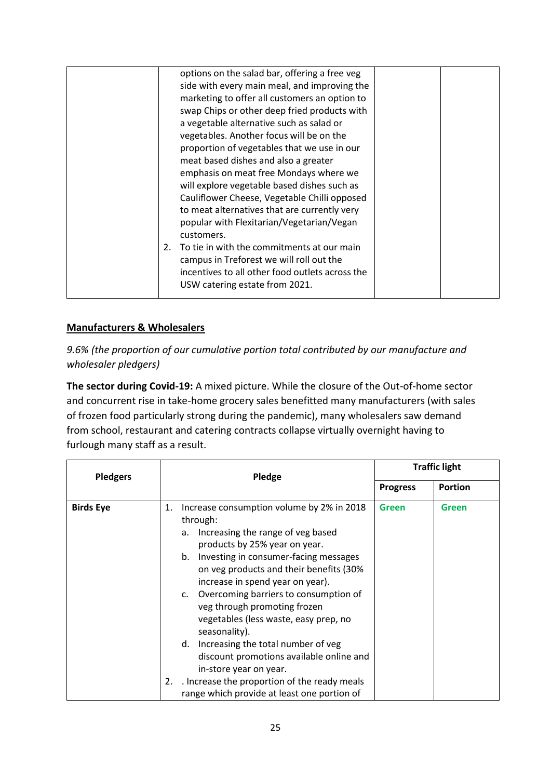| options on the salad bar, offering a free veg    |  |
|--------------------------------------------------|--|
| side with every main meal, and improving the     |  |
| marketing to offer all customers an option to    |  |
| swap Chips or other deep fried products with     |  |
| a vegetable alternative such as salad or         |  |
| vegetables. Another focus will be on the         |  |
| proportion of vegetables that we use in our      |  |
| meat based dishes and also a greater             |  |
| emphasis on meat free Mondays where we           |  |
| will explore vegetable based dishes such as      |  |
| Cauliflower Cheese, Vegetable Chilli opposed     |  |
| to meat alternatives that are currently very     |  |
| popular with Flexitarian/Vegetarian/Vegan        |  |
| customers.                                       |  |
| To tie in with the commitments at our main<br>2. |  |
| campus in Treforest we will roll out the         |  |
| incentives to all other food outlets across the  |  |
| USW catering estate from 2021.                   |  |
|                                                  |  |

# **Manufacturers & Wholesalers**

*9.6% (the proportion of our cumulative portion total contributed by our manufacture and wholesaler pledgers)*

**The sector during Covid-19:** A mixed picture. While the closure of the Out-of-home sector and concurrent rise in take-home grocery sales benefitted many manufacturers (with sales of frozen food particularly strong during the pandemic), many wholesalers saw demand from school, restaurant and catering contracts collapse virtually overnight having to furlough many staff as a result.

| <b>Pledgers</b>  | Pledge                                                                                                                                                                                                                                                                                                                                                                                                                                                                                                                                                                                 |                 | <b>Traffic light</b> |
|------------------|----------------------------------------------------------------------------------------------------------------------------------------------------------------------------------------------------------------------------------------------------------------------------------------------------------------------------------------------------------------------------------------------------------------------------------------------------------------------------------------------------------------------------------------------------------------------------------------|-----------------|----------------------|
|                  |                                                                                                                                                                                                                                                                                                                                                                                                                                                                                                                                                                                        | <b>Progress</b> | Portion              |
| <b>Birds Eye</b> | Increase consumption volume by 2% in 2018<br>1.<br>through:<br>Increasing the range of veg based<br>a.<br>products by 25% year on year.<br>Investing in consumer-facing messages<br>b.<br>on veg products and their benefits (30%<br>increase in spend year on year).<br>Overcoming barriers to consumption of<br>C.<br>veg through promoting frozen<br>vegetables (less waste, easy prep, no<br>seasonality).<br>Increasing the total number of veg<br>d.<br>discount promotions available online and<br>in-store year on year.<br>. Increase the proportion of the ready meals<br>2. | <b>Green</b>    | <b>Green</b>         |
|                  | range which provide at least one portion of                                                                                                                                                                                                                                                                                                                                                                                                                                                                                                                                            |                 |                      |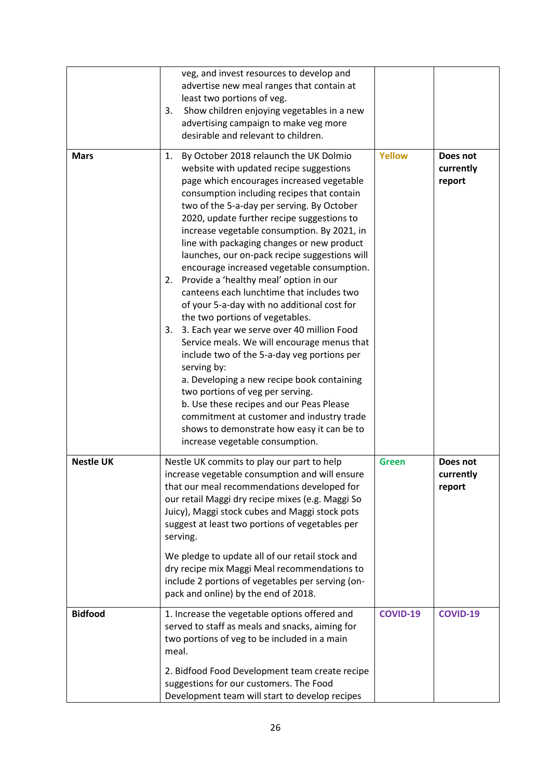|                  | veg, and invest resources to develop and<br>advertise new meal ranges that contain at<br>least two portions of veg.<br>Show children enjoying vegetables in a new<br>3.<br>advertising campaign to make veg more<br>desirable and relevant to children.                                                                                                                                                                                                                                                                                                                                                                                                                                                                                                                                                                                                                                                                                                                                                                                                                                |                 |                                 |
|------------------|----------------------------------------------------------------------------------------------------------------------------------------------------------------------------------------------------------------------------------------------------------------------------------------------------------------------------------------------------------------------------------------------------------------------------------------------------------------------------------------------------------------------------------------------------------------------------------------------------------------------------------------------------------------------------------------------------------------------------------------------------------------------------------------------------------------------------------------------------------------------------------------------------------------------------------------------------------------------------------------------------------------------------------------------------------------------------------------|-----------------|---------------------------------|
| <b>Mars</b>      | By October 2018 relaunch the UK Dolmio<br>1.<br>website with updated recipe suggestions<br>page which encourages increased vegetable<br>consumption including recipes that contain<br>two of the 5-a-day per serving. By October<br>2020, update further recipe suggestions to<br>increase vegetable consumption. By 2021, in<br>line with packaging changes or new product<br>launches, our on-pack recipe suggestions will<br>encourage increased vegetable consumption.<br>Provide a 'healthy meal' option in our<br>2.<br>canteens each lunchtime that includes two<br>of your 5-a-day with no additional cost for<br>the two portions of vegetables.<br>3. Each year we serve over 40 million Food<br>3.<br>Service meals. We will encourage menus that<br>include two of the 5-a-day veg portions per<br>serving by:<br>a. Developing a new recipe book containing<br>two portions of veg per serving.<br>b. Use these recipes and our Peas Please<br>commitment at customer and industry trade<br>shows to demonstrate how easy it can be to<br>increase vegetable consumption. | <b>Yellow</b>   | Does not<br>currently<br>report |
| <b>Nestle UK</b> | Nestle UK commits to play our part to help<br>increase vegetable consumption and will ensure<br>that our meal recommendations developed for<br>our retail Maggi dry recipe mixes (e.g. Maggi So<br>Juicy), Maggi stock cubes and Maggi stock pots<br>suggest at least two portions of vegetables per<br>serving.<br>We pledge to update all of our retail stock and<br>dry recipe mix Maggi Meal recommendations to<br>include 2 portions of vegetables per serving (on-<br>pack and online) by the end of 2018.                                                                                                                                                                                                                                                                                                                                                                                                                                                                                                                                                                       | <b>Green</b>    | Does not<br>currently<br>report |
| <b>Bidfood</b>   | 1. Increase the vegetable options offered and<br>served to staff as meals and snacks, aiming for<br>two portions of veg to be included in a main<br>meal.<br>2. Bidfood Food Development team create recipe<br>suggestions for our customers. The Food<br>Development team will start to develop recipes                                                                                                                                                                                                                                                                                                                                                                                                                                                                                                                                                                                                                                                                                                                                                                               | <b>COVID-19</b> | <b>COVID-19</b>                 |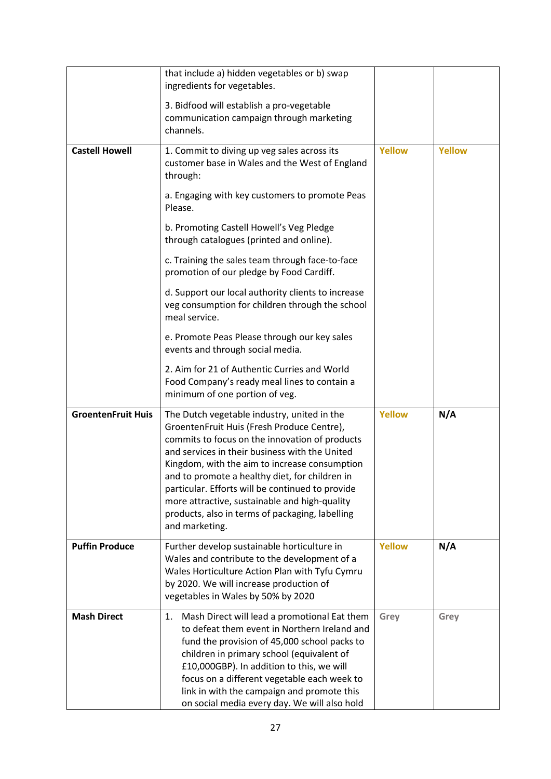|                           | that include a) hidden vegetables or b) swap<br>ingredients for vegetables.                                                                                                                                                                                                                                                                                                                                                                                                |               |               |
|---------------------------|----------------------------------------------------------------------------------------------------------------------------------------------------------------------------------------------------------------------------------------------------------------------------------------------------------------------------------------------------------------------------------------------------------------------------------------------------------------------------|---------------|---------------|
|                           | 3. Bidfood will establish a pro-vegetable<br>communication campaign through marketing<br>channels.                                                                                                                                                                                                                                                                                                                                                                         |               |               |
| <b>Castell Howell</b>     | 1. Commit to diving up veg sales across its<br>customer base in Wales and the West of England<br>through:                                                                                                                                                                                                                                                                                                                                                                  | <b>Yellow</b> | <b>Yellow</b> |
|                           | a. Engaging with key customers to promote Peas<br>Please.                                                                                                                                                                                                                                                                                                                                                                                                                  |               |               |
|                           | b. Promoting Castell Howell's Veg Pledge<br>through catalogues (printed and online).                                                                                                                                                                                                                                                                                                                                                                                       |               |               |
|                           | c. Training the sales team through face-to-face<br>promotion of our pledge by Food Cardiff.                                                                                                                                                                                                                                                                                                                                                                                |               |               |
|                           | d. Support our local authority clients to increase<br>veg consumption for children through the school<br>meal service.                                                                                                                                                                                                                                                                                                                                                     |               |               |
|                           | e. Promote Peas Please through our key sales<br>events and through social media.                                                                                                                                                                                                                                                                                                                                                                                           |               |               |
|                           | 2. Aim for 21 of Authentic Curries and World<br>Food Company's ready meal lines to contain a<br>minimum of one portion of veg.                                                                                                                                                                                                                                                                                                                                             |               |               |
| <b>GroentenFruit Huis</b> | The Dutch vegetable industry, united in the<br>GroentenFruit Huis (Fresh Produce Centre),<br>commits to focus on the innovation of products<br>and services in their business with the United<br>Kingdom, with the aim to increase consumption<br>and to promote a healthy diet, for children in<br>particular. Efforts will be continued to provide<br>more attractive, sustainable and high-quality<br>products, also in terms of packaging, labelling<br>and marketing. | <b>Yellow</b> | N/A           |
| <b>Puffin Produce</b>     | Further develop sustainable horticulture in<br>Wales and contribute to the development of a<br>Wales Horticulture Action Plan with Tyfu Cymru<br>by 2020. We will increase production of<br>vegetables in Wales by 50% by 2020                                                                                                                                                                                                                                             | <b>Yellow</b> | N/A           |
| <b>Mash Direct</b>        | Mash Direct will lead a promotional Eat them<br>1.<br>to defeat them event in Northern Ireland and<br>fund the provision of 45,000 school packs to<br>children in primary school (equivalent of<br>£10,000GBP). In addition to this, we will<br>focus on a different vegetable each week to<br>link in with the campaign and promote this<br>on social media every day. We will also hold                                                                                  | Grey          | Grey          |